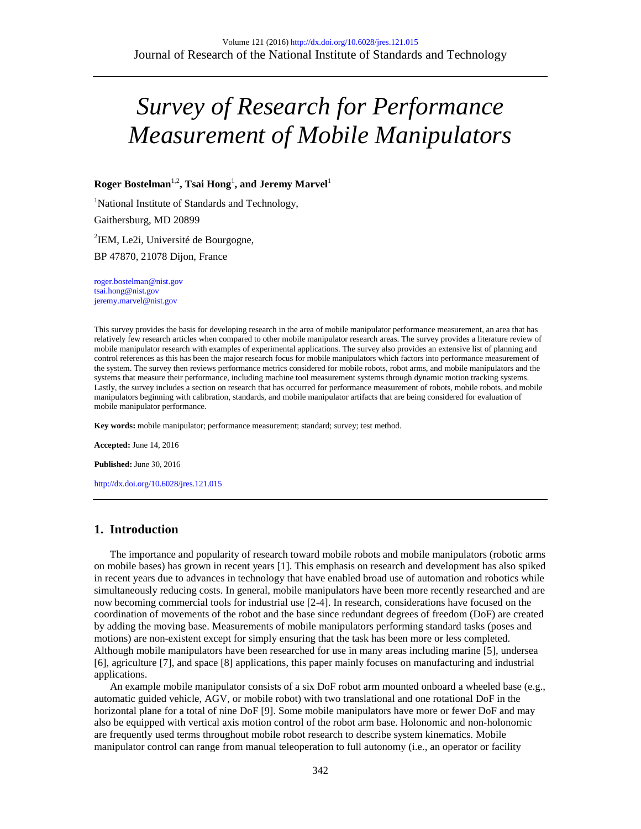# *Survey of Research for Performance Measurement of Mobile Manipulators*

 $\textbf{Roger Bostelman}^{1,2}, \textbf{Tsai Hong}^{1}, \textbf{and Jeremy Marvel}^{1}$ 

<sup>1</sup>National Institute of Standards and Technology, Gaithersburg, MD 20899

<sup>2</sup>IEM, Le2i, Université de Bourgogne, BP 47870, 21078 Dijon, France

[roger.bostelman@nist.gov](mailto:roger.bostelman@nist.gov) [tsai.hong@nist.gov](mailto:tsai.hong@nist.gov) [jeremy.marvel@nist.gov](mailto:jeremy.marvel@nist.gov)

This survey provides the basis for developing research in the area of mobile manipulator performance measurement, an area that has relatively few research articles when compared to other mobile manipulator research areas. The survey provides a literature review of mobile manipulator research with examples of experimental applications. The survey also provides an extensive list of planning and control references as this has been the major research focus for mobile manipulators which factors into performance measurement of the system. The survey then reviews performance metrics considered for mobile robots, robot arms, and mobile manipulators and the systems that measure their performance, including machine tool measurement systems through dynamic motion tracking systems. Lastly, the survey includes a section on research that has occurred for performance measurement of robots, mobile robots, and mobile manipulators beginning with calibration, standards, and mobile manipulator artifacts that are being considered for evaluation of mobile manipulator performance.

**Key words:** mobile manipulator; performance measurement; standard; survey; test method.

**Accepted:** June 14, 2016

**Published:** June 30, 2016

<http://dx.doi.org/10.6028/jres.121.015>

# **1. Introduction**

The importance and popularity of research toward mobile robots and mobile manipulators (robotic arms on mobile bases) has grown in recent years [1]. This emphasis on research and development has also spiked in recent years due to advances in technology that have enabled broad use of automation and robotics while simultaneously reducing costs. In general, mobile manipulators have been more recently researched and are now becoming commercial tools for industrial use [2-4]. In research, considerations have focused on the coordination of movements of the robot and the base since redundant degrees of freedom (DoF) are created by adding the moving base. Measurements of mobile manipulators performing standard tasks (poses and motions) are non-existent except for simply ensuring that the task has been more or less completed. Although mobile manipulators have been researched for use in many areas including marine [5], undersea [6], agriculture [7], and space [8] applications, this paper mainly focuses on manufacturing and industrial applications.

 An example mobile manipulator consists of a six DoF robot arm mounted onboard a wheeled base (e.g., automatic guided vehicle, AGV, or mobile robot) with two translational and one rotational DoF in the horizontal plane for a total of nine DoF [9]. Some mobile manipulators have more or fewer DoF and may also be equipped with vertical axis motion control of the robot arm base. Holonomic and non-holonomic are frequently used terms throughout mobile robot research to describe system kinematics. Mobile manipulator control can range from manual teleoperation to full autonomy (i.e., an operator or facility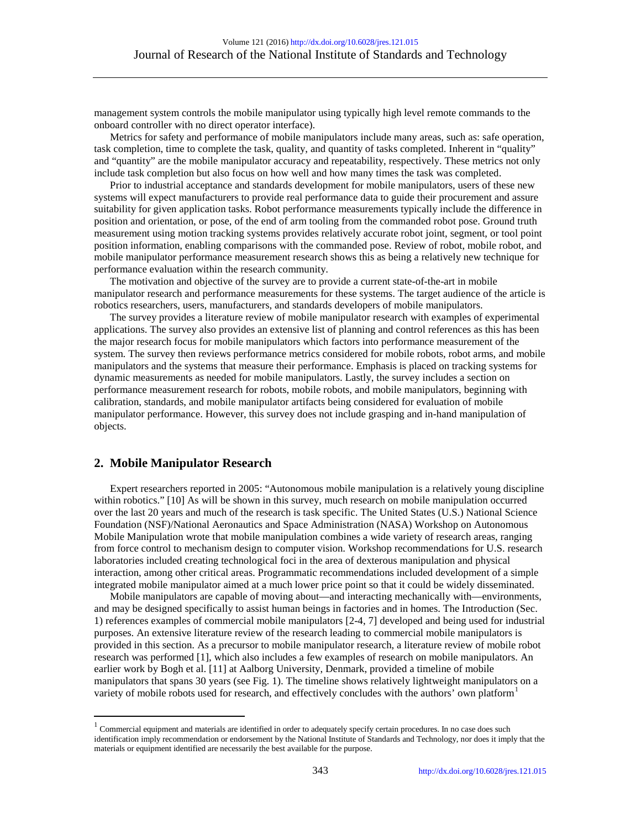management system controls the mobile manipulator using typically high level remote commands to the onboard controller with no direct operator interface).

 Metrics for safety and performance of mobile manipulators include many areas, such as: safe operation, task completion, time to complete the task, quality, and quantity of tasks completed. Inherent in "quality" and "quantity" are the mobile manipulator accuracy and repeatability, respectively. These metrics not only include task completion but also focus on how well and how many times the task was completed.

 Prior to industrial acceptance and standards development for mobile manipulators, users of these new systems will expect manufacturers to provide real performance data to guide their procurement and assure suitability for given application tasks. Robot performance measurements typically include the difference in position and orientation, or pose, of the end of arm tooling from the commanded robot pose. Ground truth measurement using motion tracking systems provides relatively accurate robot joint, segment, or tool point position information, enabling comparisons with the commanded pose. Review of robot, mobile robot, and mobile manipulator performance measurement research shows this as being a relatively new technique for performance evaluation within the research community.

 The motivation and objective of the survey are to provide a current state-of-the-art in mobile manipulator research and performance measurements for these systems. The target audience of the article is robotics researchers, users, manufacturers, and standards developers of mobile manipulators.

 The survey provides a literature review of mobile manipulator research with examples of experimental applications. The survey also provides an extensive list of planning and control references as this has been the major research focus for mobile manipulators which factors into performance measurement of the system. The survey then reviews performance metrics considered for mobile robots, robot arms, and mobile manipulators and the systems that measure their performance. Emphasis is placed on tracking systems for dynamic measurements as needed for mobile manipulators. Lastly, the survey includes a section on performance measurement research for robots, mobile robots, and mobile manipulators, beginning with calibration, standards, and mobile manipulator artifacts being considered for evaluation of mobile manipulator performance. However, this survey does not include grasping and in-hand manipulation of objects.

## **2. Mobile Manipulator Research**

 Expert researchers reported in 2005: "Autonomous mobile manipulation is a relatively young discipline within robotics." [10] As will be shown in this survey, much research on mobile manipulation occurred over the last 20 years and much of the research is task specific. The United States (U.S.) National Science Foundation (NSF)/National Aeronautics and Space Administration (NASA) Workshop on Autonomous Mobile Manipulation wrote that mobile manipulation combines a wide variety of research areas, ranging from force control to mechanism design to computer vision. Workshop recommendations for U.S. research laboratories included creating technological foci in the area of dexterous manipulation and physical interaction, among other critical areas. Programmatic recommendations included development of a simple integrated mobile manipulator aimed at a much lower price point so that it could be widely disseminated.

 Mobile manipulators are capable of moving about—and interacting mechanically with—environments, and may be designed specifically to assist human beings in factories and in homes. The Introduction (Sec. 1) references examples of commercial mobile manipulators [2-4, 7] developed and being used for industrial purposes. An extensive literature review of the research leading to commercial mobile manipulators is provided in this section. As a precursor to mobile manipulator research, a literature review of mobile robot research was performed [1], which also includes a few examples of research on mobile manipulators. An earlier work by Bogh et al. [11] at Aalborg University, Denmark, provided a timeline of mobile manipulators that spans 30 years (see Fig. 1). The timeline shows relatively lightweight manipulators on a variety of mobile robots used for research, and effectively concludes with the authors' own platform $\frac{1}{1}$  $\frac{1}{1}$  $\frac{1}{1}$ 

<span id="page-1-0"></span> $1$  Commercial equipment and materials are identified in order to adequately specify certain procedures. In no case does such identification imply recommendation or endorsement by the National Institute of Standards and Technology, nor does it imply that the materials or equipment identified are necessarily the best available for the purpose.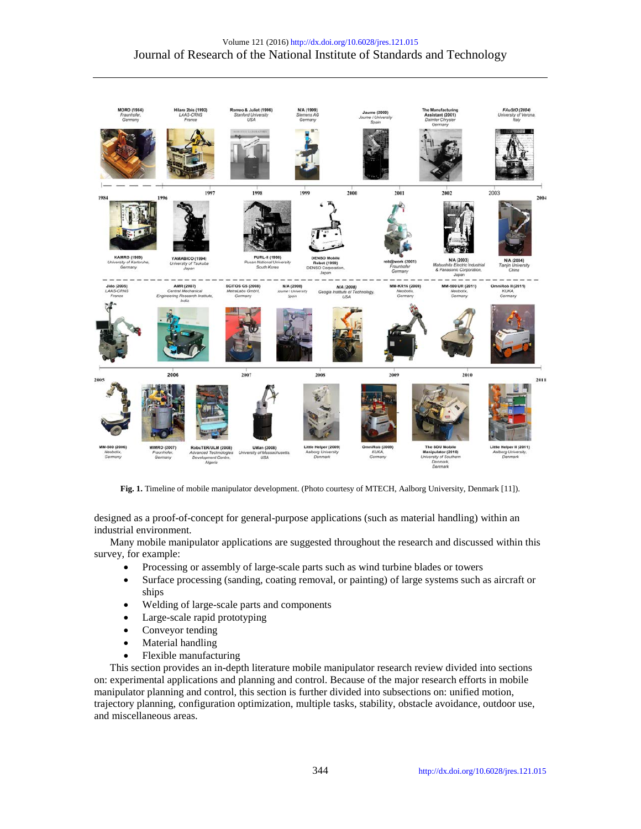

**Fig. 1.** Timeline of mobile manipulator development. (Photo courtesy of MTECH, Aalborg University, Denmark [11]).

designed as a proof-of-concept for general-purpose applications (such as material handling) within an industrial environment.

 Many mobile manipulator applications are suggested throughout the research and discussed within this survey, for example:

- Processing or assembly of large-scale parts such as wind turbine blades or towers
- Surface processing (sanding, coating removal, or painting) of large systems such as aircraft or ships
- Welding of large-scale parts and components
- Large-scale rapid prototyping
- Conveyor tending
- Material handling
- Flexible manufacturing

 This section provides an in-depth literature mobile manipulator research review divided into sections on: experimental applications and planning and control. Because of the major research efforts in mobile manipulator planning and control, this section is further divided into subsections on: unified motion, trajectory planning, configuration optimization, multiple tasks, stability, obstacle avoidance, outdoor use, and miscellaneous areas.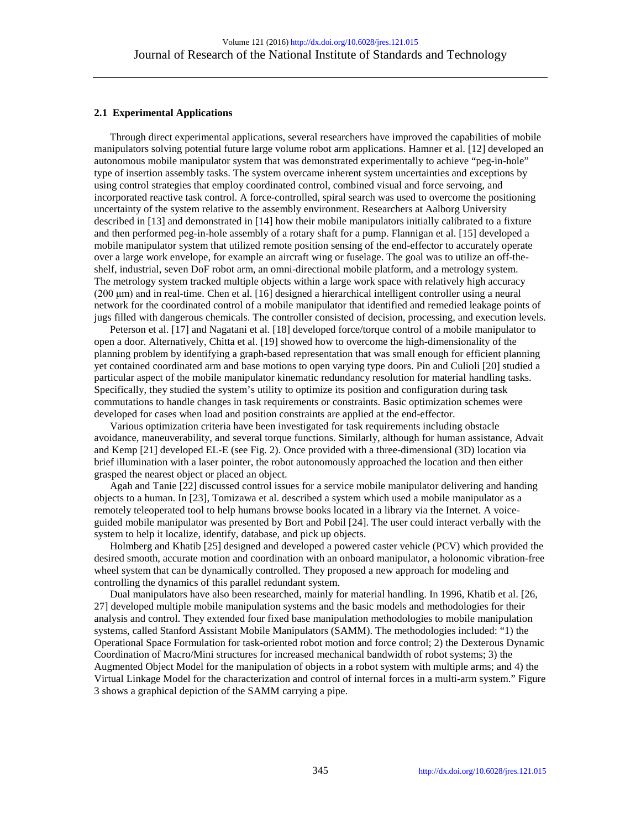# **2.1 Experimental Applications**

 Through direct experimental applications, several researchers have improved the capabilities of mobile manipulators solving potential future large volume robot arm applications. Hamner et al. [12] developed an autonomous mobile manipulator system that was demonstrated experimentally to achieve "peg-in-hole" type of insertion assembly tasks. The system overcame inherent system uncertainties and exceptions by using control strategies that employ coordinated control, combined visual and force servoing, and incorporated reactive task control. A force-controlled, spiral search was used to overcome the positioning uncertainty of the system relative to the assembly environment. Researchers at Aalborg University described in [13] and demonstrated in [14] how their mobile manipulators initially calibrated to a fixture and then performed peg-in-hole assembly of a rotary shaft for a pump. Flannigan et al. [15] developed a mobile manipulator system that utilized remote position sensing of the end-effector to accurately operate over a large work envelope, for example an aircraft wing or fuselage. The goal was to utilize an off-theshelf, industrial, seven DoF robot arm, an omni-directional mobile platform, and a metrology system. The metrology system tracked multiple objects within a large work space with relatively high accuracy (200 μm) and in real-time. Chen et al. [16] designed a hierarchical intelligent controller using a neural network for the coordinated control of a mobile manipulator that identified and remedied leakage points of jugs filled with dangerous chemicals. The controller consisted of decision, processing, and execution levels.

 Peterson et al. [17] and Nagatani et al. [18] developed force/torque control of a mobile manipulator to open a door. Alternatively, Chitta et al. [19] showed how to overcome the high-dimensionality of the planning problem by identifying a graph-based representation that was small enough for efficient planning yet contained coordinated arm and base motions to open varying type doors. Pin and Culioli [20] studied a particular aspect of the mobile manipulator kinematic redundancy resolution for material handling tasks. Specifically, they studied the system's utility to optimize its position and configuration during task commutations to handle changes in task requirements or constraints. Basic optimization schemes were developed for cases when load and position constraints are applied at the end-effector.

 Various optimization criteria have been investigated for task requirements including obstacle avoidance, maneuverability, and several torque functions. Similarly, although for human assistance, Advait and Kemp [21] developed EL-E (see Fig. 2). Once provided with a three-dimensional (3D) location via brief illumination with a laser pointer, the robot autonomously approached the location and then either grasped the nearest object or placed an object.

 Agah and Tanie [22] discussed control issues for a service mobile manipulator delivering and handing objects to a human. In [23], Tomizawa et al. described a system which used a mobile manipulator as a remotely teleoperated tool to help humans browse books located in a library via the Internet. A voiceguided mobile manipulator was presented by Bort and Pobil [24]. The user could interact verbally with the system to help it localize, identify, database, and pick up objects.

 Holmberg and Khatib [25] designed and developed a powered caster vehicle (PCV) which provided the desired smooth, accurate motion and coordination with an onboard manipulator, a holonomic vibration-free wheel system that can be dynamically controlled. They proposed a new approach for modeling and controlling the dynamics of this parallel redundant system.

 Dual manipulators have also been researched, mainly for material handling. In 1996, Khatib et al. [26, 27] developed multiple mobile manipulation systems and the basic models and methodologies for their analysis and control. They extended four fixed base manipulation methodologies to mobile manipulation systems, called Stanford Assistant Mobile Manipulators (SAMM). The methodologies included: "1) the Operational Space Formulation for task-oriented robot motion and force control; 2) the Dexterous Dynamic Coordination of Macro/Mini structures for increased mechanical bandwidth of robot systems; 3) the Augmented Object Model for the manipulation of objects in a robot system with multiple arms; and 4) the Virtual Linkage Model for the characterization and control of internal forces in a multi-arm system." Figure 3 shows a graphical depiction of the SAMM carrying a pipe.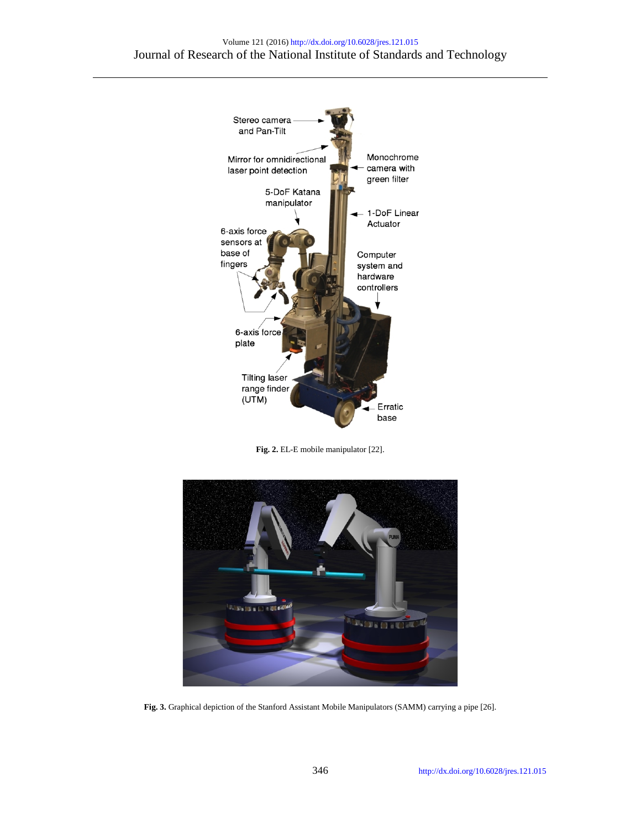

**Fig. 2.** EL-E mobile manipulator [22].



**Fig. 3.** Graphical depiction of the Stanford Assistant Mobile Manipulators (SAMM) carrying a pipe [26].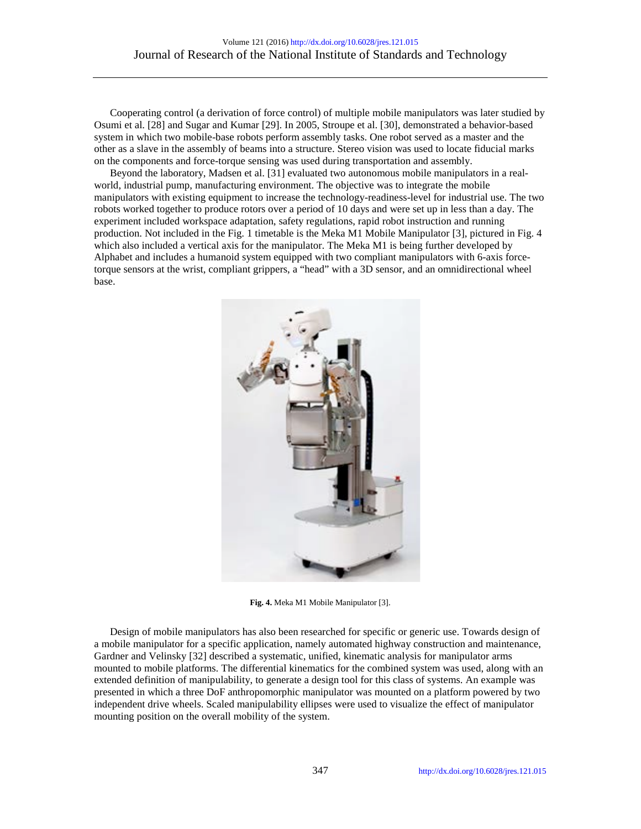Cooperating control (a derivation of force control) of multiple mobile manipulators was later studied by Osumi et al. [28] and Sugar and Kumar [29]. In 2005, Stroupe et al. [30], demonstrated a behavior-based system in which two mobile-base robots perform assembly tasks. One robot served as a master and the other as a slave in the assembly of beams into a structure. Stereo vision was used to locate fiducial marks on the components and force-torque sensing was used during transportation and assembly.

 Beyond the laboratory, Madsen et al. [31] evaluated two autonomous mobile manipulators in a realworld, industrial pump, manufacturing environment. The objective was to integrate the mobile manipulators with existing equipment to increase the technology-readiness-level for industrial use. The two robots worked together to produce rotors over a period of 10 days and were set up in less than a day. The experiment included workspace adaptation, safety regulations, rapid robot instruction and running production. Not included in the Fig. 1 timetable is the Meka M1 Mobile Manipulator [3], pictured in Fig. 4 which also included a vertical axis for the manipulator. The Meka M1 is being further developed by Alphabet and includes a humanoid system equipped with two compliant manipulators with 6-axis forcetorque sensors at the wrist, compliant grippers, a "head" with a 3D sensor, and an omnidirectional wheel base.



**Fig. 4.** Meka M1 Mobile Manipulator [3].

 Design of mobile manipulators has also been researched for specific or generic use. Towards design of a mobile manipulator for a specific application, namely automated highway construction and maintenance, Gardner and Velinsky [32] described a systematic, unified, kinematic analysis for manipulator arms mounted to mobile platforms. The differential kinematics for the combined system was used, along with an extended definition of manipulability, to generate a design tool for this class of systems. An example was presented in which a three DoF anthropomorphic manipulator was mounted on a platform powered by two independent drive wheels. Scaled manipulability ellipses were used to visualize the effect of manipulator mounting position on the overall mobility of the system.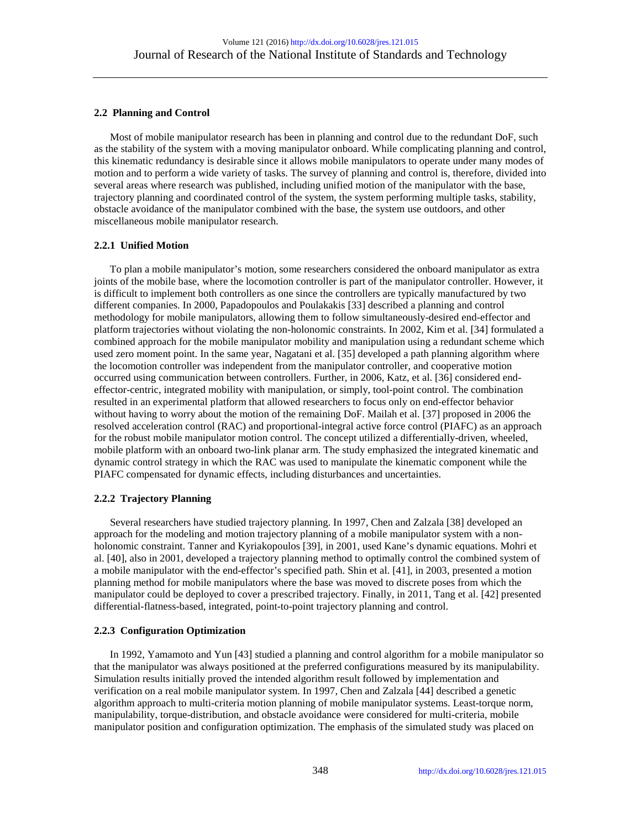# **2.2 Planning and Control**

 Most of mobile manipulator research has been in planning and control due to the redundant DoF, such as the stability of the system with a moving manipulator onboard. While complicating planning and control, this kinematic redundancy is desirable since it allows mobile manipulators to operate under many modes of motion and to perform a wide variety of tasks. The survey of planning and control is, therefore, divided into several areas where research was published, including unified motion of the manipulator with the base, trajectory planning and coordinated control of the system, the system performing multiple tasks, stability, obstacle avoidance of the manipulator combined with the base, the system use outdoors, and other miscellaneous mobile manipulator research.

# **2.2.1 Unified Motion**

 To plan a mobile manipulator's motion, some researchers considered the onboard manipulator as extra joints of the mobile base, where the locomotion controller is part of the manipulator controller. However, it is difficult to implement both controllers as one since the controllers are typically manufactured by two different companies. In 2000, Papadopoulos and Poulakakis [33] described a planning and control methodology for mobile manipulators, allowing them to follow simultaneously-desired end-effector and platform trajectories without violating the non-holonomic constraints. In 2002, Kim et al. [34] formulated a combined approach for the mobile manipulator mobility and manipulation using a redundant scheme which used zero moment point. In the same year, Nagatani et al. [35] developed a path planning algorithm where the locomotion controller was independent from the manipulator controller, and cooperative motion occurred using communication between controllers. Further, in 2006, Katz, et al. [36] considered endeffector-centric, integrated mobility with manipulation, or simply, tool-point control. The combination resulted in an experimental platform that allowed researchers to focus only on end-effector behavior without having to worry about the motion of the remaining DoF. Mailah et al. [37] proposed in 2006 the resolved acceleration control (RAC) and proportional-integral active force control (PIAFC) as an approach for the robust mobile manipulator motion control. The concept utilized a differentially-driven, wheeled, mobile platform with an onboard two-link planar arm. The study emphasized the integrated kinematic and dynamic control strategy in which the RAC was used to manipulate the kinematic component while the PIAFC compensated for dynamic effects, including disturbances and uncertainties.

# **2.2.2 Trajectory Planning**

 Several researchers have studied trajectory planning. In 1997, Chen and Zalzala [38] developed an approach for the modeling and motion trajectory planning of a mobile manipulator system with a nonholonomic constraint. Tanner and Kyriakopoulos [39], in 2001, used Kane's dynamic equations. Mohri et al. [40], also in 2001, developed a trajectory planning method to optimally control the combined system of a mobile manipulator with the end-effector's specified path. Shin et al. [41], in 2003, presented a motion planning method for mobile manipulators where the base was moved to discrete poses from which the manipulator could be deployed to cover a prescribed trajectory. Finally, in 2011, Tang et al. [42] presented differential-flatness-based, integrated, point-to-point trajectory planning and control.

# **2.2.3 Configuration Optimization**

 In 1992, Yamamoto and Yun [43] studied a planning and control algorithm for a mobile manipulator so that the manipulator was always positioned at the preferred configurations measured by its manipulability. Simulation results initially proved the intended algorithm result followed by implementation and verification on a real mobile manipulator system. In 1997, Chen and Zalzala [44] described a genetic algorithm approach to multi-criteria motion planning of mobile manipulator systems. Least-torque norm, manipulability, torque-distribution, and obstacle avoidance were considered for multi-criteria, mobile manipulator position and configuration optimization. The emphasis of the simulated study was placed on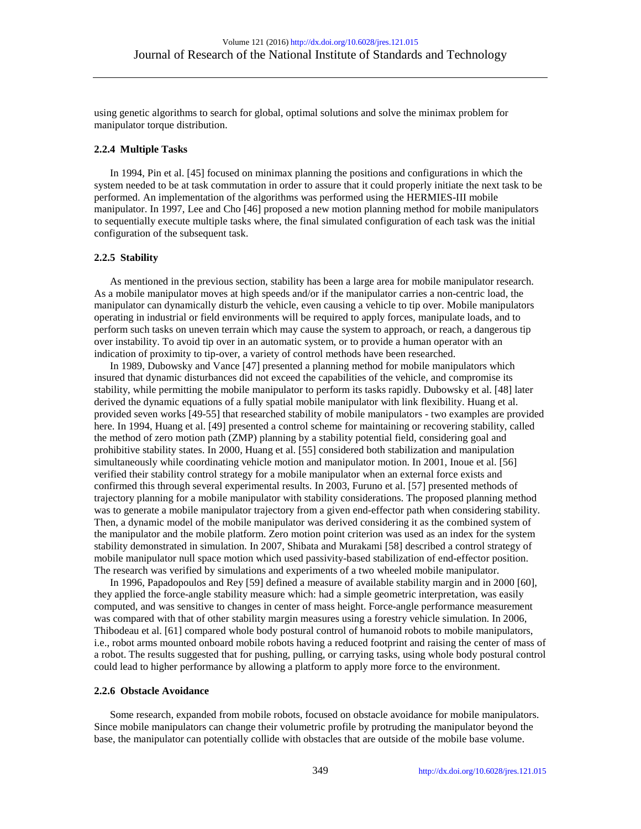using genetic algorithms to search for global, optimal solutions and solve the minimax problem for manipulator torque distribution.

# **2.2.4 Multiple Tasks**

 In 1994, Pin et al. [45] focused on minimax planning the positions and configurations in which the system needed to be at task commutation in order to assure that it could properly initiate the next task to be performed. An implementation of the algorithms was performed using the HERMIES-III mobile manipulator. In 1997, Lee and Cho [46] proposed a new motion planning method for mobile manipulators to sequentially execute multiple tasks where, the final simulated configuration of each task was the initial configuration of the subsequent task.

## **2.2.5 Stability**

 As mentioned in the previous section, stability has been a large area for mobile manipulator research. As a mobile manipulator moves at high speeds and/or if the manipulator carries a non-centric load, the manipulator can dynamically disturb the vehicle, even causing a vehicle to tip over. Mobile manipulators operating in industrial or field environments will be required to apply forces, manipulate loads, and to perform such tasks on uneven terrain which may cause the system to approach, or reach, a dangerous tip over instability. To avoid tip over in an automatic system, or to provide a human operator with an indication of proximity to tip-over, a variety of control methods have been researched.

 In 1989, Dubowsky and Vance [47] presented a planning method for mobile manipulators which insured that dynamic disturbances did not exceed the capabilities of the vehicle, and compromise its stability, while permitting the mobile manipulator to perform its tasks rapidly. Dubowsky et al. [48] later derived the dynamic equations of a fully spatial mobile manipulator with link flexibility. Huang et al. provided seven works [49-55] that researched stability of mobile manipulators - two examples are provided here. In 1994, Huang et al. [49] presented a control scheme for maintaining or recovering stability, called the method of zero motion path (ZMP) planning by a stability potential field, considering goal and prohibitive stability states. In 2000, Huang et al. [55] considered both stabilization and manipulation simultaneously while coordinating vehicle motion and manipulator motion. In 2001, Inoue et al. [56] verified their stability control strategy for a mobile manipulator when an external force exists and confirmed this through several experimental results. In 2003, Furuno et al. [57] presented methods of trajectory planning for a mobile manipulator with stability considerations. The proposed planning method was to generate a mobile manipulator trajectory from a given end-effector path when considering stability. Then, a dynamic model of the mobile manipulator was derived considering it as the combined system of the manipulator and the mobile platform. Zero motion point criterion was used as an index for the system stability demonstrated in simulation. In 2007, Shibata and Murakami [58] described a control strategy of mobile manipulator null space motion which used passivity-based stabilization of end-effector position. The research was verified by simulations and experiments of a two wheeled mobile manipulator.

 In 1996, Papadopoulos and Rey [59] defined a measure of available stability margin and in 2000 [60], they applied the force-angle stability measure which: had a simple geometric interpretation, was easily computed, and was sensitive to changes in center of mass height. Force-angle performance measurement was compared with that of other stability margin measures using a forestry vehicle simulation. In 2006, Thibodeau et al. [61] compared whole body postural control of humanoid robots to mobile manipulators, i.e., robot arms mounted onboard mobile robots having a reduced footprint and raising the center of mass of a robot. The results suggested that for pushing, pulling, or carrying tasks, using whole body postural control could lead to higher performance by allowing a platform to apply more force to the environment.

## **2.2.6 Obstacle Avoidance**

 Some research, expanded from mobile robots, focused on obstacle avoidance for mobile manipulators. Since mobile manipulators can change their volumetric profile by protruding the manipulator beyond the base, the manipulator can potentially collide with obstacles that are outside of the mobile base volume.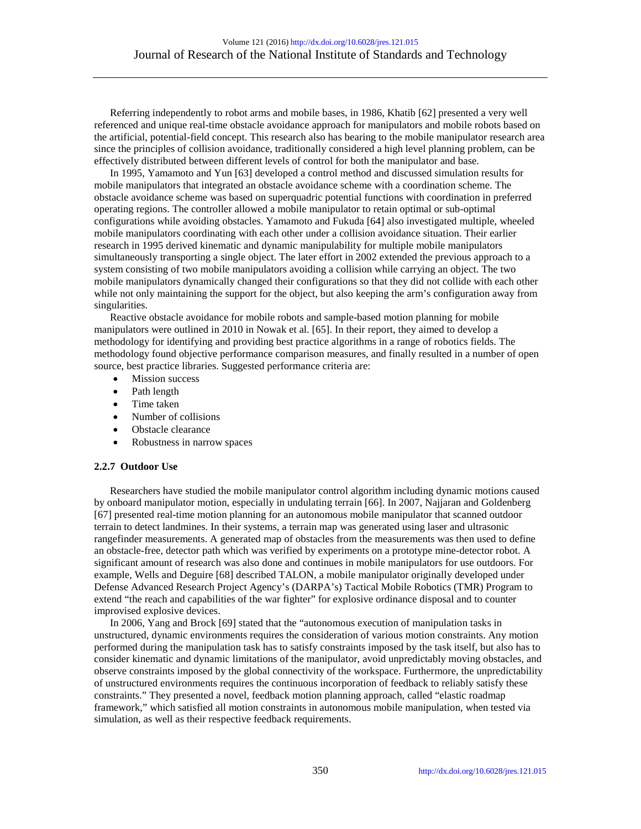Referring independently to robot arms and mobile bases, in 1986, Khatib [62] presented a very well referenced and unique real-time obstacle avoidance approach for manipulators and mobile robots based on the artificial, potential-field concept. This research also has bearing to the mobile manipulator research area since the principles of collision avoidance, traditionally considered a high level planning problem, can be effectively distributed between different levels of control for both the manipulator and base.

 In 1995, Yamamoto and Yun [63] developed a control method and discussed simulation results for mobile manipulators that integrated an obstacle avoidance scheme with a coordination scheme. The obstacle avoidance scheme was based on superquadric potential functions with coordination in preferred operating regions. The controller allowed a mobile manipulator to retain optimal or sub-optimal configurations while avoiding obstacles. Yamamoto and Fukuda [64] also investigated multiple, wheeled mobile manipulators coordinating with each other under a collision avoidance situation. Their earlier research in 1995 derived kinematic and dynamic manipulability for multiple mobile manipulators simultaneously transporting a single object. The later effort in 2002 extended the previous approach to a system consisting of two mobile manipulators avoiding a collision while carrying an object. The two mobile manipulators dynamically changed their configurations so that they did not collide with each other while not only maintaining the support for the object, but also keeping the arm's configuration away from singularities.

 Reactive obstacle avoidance for mobile robots and sample-based motion planning for mobile manipulators were outlined in 2010 in Nowak et al. [65]. In their report, they aimed to develop a methodology for identifying and providing best practice algorithms in a range of robotics fields. The methodology found objective performance comparison measures, and finally resulted in a number of open source, best practice libraries. Suggested performance criteria are:

- Mission success
- Path length
- Time taken
- Number of collisions
- Obstacle clearance
- Robustness in narrow spaces

#### **2.2.7 Outdoor Use**

 Researchers have studied the mobile manipulator control algorithm including dynamic motions caused by onboard manipulator motion, especially in undulating terrain [66]. In 2007, Najjaran and Goldenberg [67] presented real-time motion planning for an autonomous mobile manipulator that scanned outdoor terrain to detect landmines. In their systems, a terrain map was generated using laser and ultrasonic rangefinder measurements. A generated map of obstacles from the measurements was then used to define an obstacle-free, detector path which was verified by experiments on a prototype mine-detector robot. A significant amount of research was also done and continues in mobile manipulators for use outdoors. For example, Wells and Deguire [68] described TALON, a mobile manipulator originally developed under Defense Advanced Research Project Agency's (DARPA's) Tactical Mobile Robotics (TMR) Program to extend "the reach and capabilities of the war fighter" for explosive ordinance disposal and to counter improvised explosive devices.

 In 2006, Yang and Brock [69] stated that the "autonomous execution of manipulation tasks in unstructured, dynamic environments requires the consideration of various motion constraints. Any motion performed during the manipulation task has to satisfy constraints imposed by the task itself, but also has to consider kinematic and dynamic limitations of the manipulator, avoid unpredictably moving obstacles, and observe constraints imposed by the global connectivity of the workspace. Furthermore, the unpredictability of unstructured environments requires the continuous incorporation of feedback to reliably satisfy these constraints." They presented a novel, feedback motion planning approach, called "elastic roadmap framework," which satisfied all motion constraints in autonomous mobile manipulation, when tested via simulation, as well as their respective feedback requirements.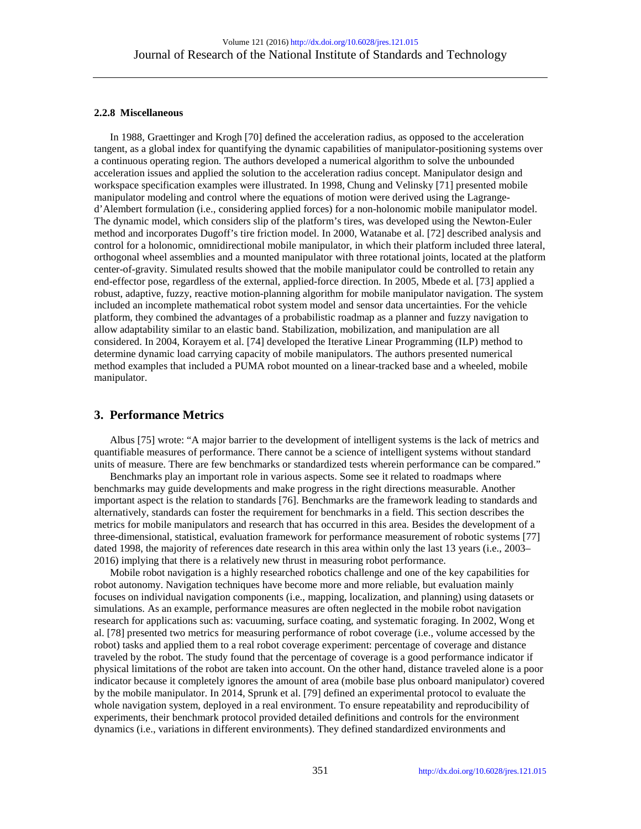## **2.2.8 Miscellaneous**

 In 1988, Graettinger and Krogh [70] defined the acceleration radius, as opposed to the acceleration tangent, as a global index for quantifying the dynamic capabilities of manipulator-positioning systems over a continuous operating region. The authors developed a numerical algorithm to solve the unbounded acceleration issues and applied the solution to the acceleration radius concept. Manipulator design and workspace specification examples were illustrated. In 1998, Chung and Velinsky [71] presented mobile manipulator modeling and control where the equations of motion were derived using the Lagranged'Alembert formulation (i.e., considering applied forces) for a non-holonomic mobile manipulator model. The dynamic model, which considers slip of the platform's tires, was developed using the Newton-Euler method and incorporates Dugoff's tire friction model. In 2000, Watanabe et al. [72] described analysis and control for a holonomic, omnidirectional mobile manipulator, in which their platform included three lateral, orthogonal wheel assemblies and a mounted manipulator with three rotational joints, located at the platform center-of-gravity. Simulated results showed that the mobile manipulator could be controlled to retain any end-effector pose, regardless of the external, applied-force direction. In 2005, Mbede et al. [73] applied a robust, adaptive, fuzzy, reactive motion-planning algorithm for mobile manipulator navigation. The system included an incomplete mathematical robot system model and sensor data uncertainties. For the vehicle platform, they combined the advantages of a probabilistic roadmap as a planner and fuzzy navigation to allow adaptability similar to an elastic band. Stabilization, mobilization, and manipulation are all considered. In 2004, Korayem et al. [74] developed the Iterative Linear Programming (ILP) method to determine dynamic load carrying capacity of mobile manipulators. The authors presented numerical method examples that included a PUMA robot mounted on a linear-tracked base and a wheeled, mobile manipulator.

# **3. Performance Metrics**

 Albus [75] wrote: "A major barrier to the development of intelligent systems is the lack of metrics and quantifiable measures of performance. There cannot be a science of intelligent systems without standard units of measure. There are few benchmarks or standardized tests wherein performance can be compared."

 Benchmarks play an important role in various aspects. Some see it related to roadmaps where benchmarks may guide developments and make progress in the right directions measurable. Another important aspect is the relation to standards [76]. Benchmarks are the framework leading to standards and alternatively, standards can foster the requirement for benchmarks in a field. This section describes the metrics for mobile manipulators and research that has occurred in this area. Besides the development of a three-dimensional, statistical, evaluation framework for performance measurement of robotic systems [77] dated 1998, the majority of references date research in this area within only the last 13 years (i.e., 2003– 2016) implying that there is a relatively new thrust in measuring robot performance.

 Mobile robot navigation is a highly researched robotics challenge and one of the key capabilities for robot autonomy. Navigation techniques have become more and more reliable, but evaluation mainly focuses on individual navigation components (i.e., mapping, localization, and planning) using datasets or simulations. As an example, performance measures are often neglected in the mobile robot navigation research for applications such as: vacuuming, surface coating, and systematic foraging. In 2002, Wong et al. [78] presented two metrics for measuring performance of robot coverage (i.e., volume accessed by the robot) tasks and applied them to a real robot coverage experiment: percentage of coverage and distance traveled by the robot. The study found that the percentage of coverage is a good performance indicator if physical limitations of the robot are taken into account. On the other hand, distance traveled alone is a poor indicator because it completely ignores the amount of area (mobile base plus onboard manipulator) covered by the mobile manipulator. In 2014, Sprunk et al. [79] defined an experimental protocol to evaluate the whole navigation system, deployed in a real environment. To ensure repeatability and reproducibility of experiments, their benchmark protocol provided detailed definitions and controls for the environment dynamics (i.e., variations in different environments). They defined standardized environments and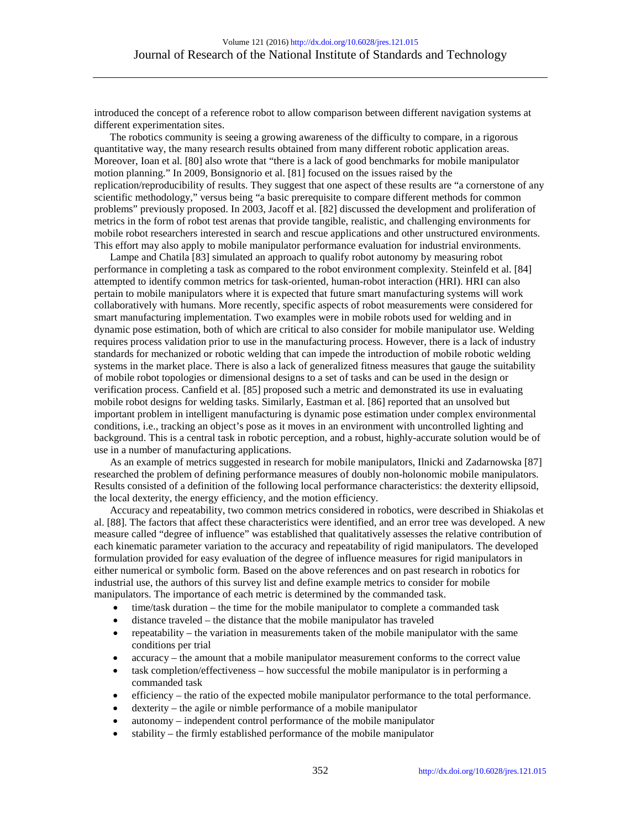introduced the concept of a reference robot to allow comparison between different navigation systems at different experimentation sites.

 The robotics community is seeing a growing awareness of the difficulty to compare, in a rigorous quantitative way, the many research results obtained from many different robotic application areas. Moreover, Ioan et al. [80] also wrote that "there is a lack of good benchmarks for mobile manipulator motion planning." In 2009, Bonsignorio et al. [81] focused on the issues raised by the replication/reproducibility of results. They suggest that one aspect of these results are "a cornerstone of any scientific methodology," versus being "a basic prerequisite to compare different methods for common problems" previously proposed. In 2003, Jacoff et al. [82] discussed the development and proliferation of metrics in the form of robot test arenas that provide tangible, realistic, and challenging environments for mobile robot researchers interested in search and rescue applications and other unstructured environments. This effort may also apply to mobile manipulator performance evaluation for industrial environments.

 Lampe and Chatila [83] simulated an approach to qualify robot autonomy by measuring robot performance in completing a task as compared to the robot environment complexity. Steinfeld et al. [84] attempted to identify common metrics for task-oriented, human-robot interaction (HRI). HRI can also pertain to mobile manipulators where it is expected that future smart manufacturing systems will work collaboratively with humans. More recently, specific aspects of robot measurements were considered for smart manufacturing implementation. Two examples were in mobile robots used for welding and in dynamic pose estimation, both of which are critical to also consider for mobile manipulator use. Welding requires process validation prior to use in the manufacturing process. However, there is a lack of industry standards for mechanized or robotic welding that can impede the introduction of mobile robotic welding systems in the market place. There is also a lack of generalized fitness measures that gauge the suitability of mobile robot topologies or dimensional designs to a set of tasks and can be used in the design or verification process. Canfield et al. [85] proposed such a metric and demonstrated its use in evaluating mobile robot designs for welding tasks. Similarly, Eastman et al. [86] reported that an unsolved but important problem in intelligent manufacturing is dynamic pose estimation under complex environmental conditions, i.e., tracking an object's pose as it moves in an environment with uncontrolled lighting and background. This is a central task in robotic perception, and a robust, highly-accurate solution would be of use in a number of manufacturing applications.

 As an example of metrics suggested in research for mobile manipulators, Ilnicki and Zadarnowska [87] researched the problem of defining performance measures of doubly non-holonomic mobile manipulators. Results consisted of a definition of the following local performance characteristics: the dexterity ellipsoid, the local dexterity, the energy efficiency, and the motion efficiency.

 Accuracy and repeatability, two common metrics considered in robotics, were described in Shiakolas et al. [88]. The factors that affect these characteristics were identified, and an error tree was developed. A new measure called "degree of influence" was established that qualitatively assesses the relative contribution of each kinematic parameter variation to the accuracy and repeatability of rigid manipulators. The developed formulation provided for easy evaluation of the degree of influence measures for rigid manipulators in either numerical or symbolic form. Based on the above references and on past research in robotics for industrial use, the authors of this survey list and define example metrics to consider for mobile manipulators. The importance of each metric is determined by the commanded task.

- time/task duration the time for the mobile manipulator to complete a commanded task
- distance traveled the distance that the mobile manipulator has traveled
- repeatability the variation in measurements taken of the mobile manipulator with the same conditions per trial
- accuracy the amount that a mobile manipulator measurement conforms to the correct value
- task completion/effectiveness how successful the mobile manipulator is in performing a commanded task
- efficiency the ratio of the expected mobile manipulator performance to the total performance.
- dexterity the agile or nimble performance of a mobile manipulator
- autonomy independent control performance of the mobile manipulator
- stability the firmly established performance of the mobile manipulator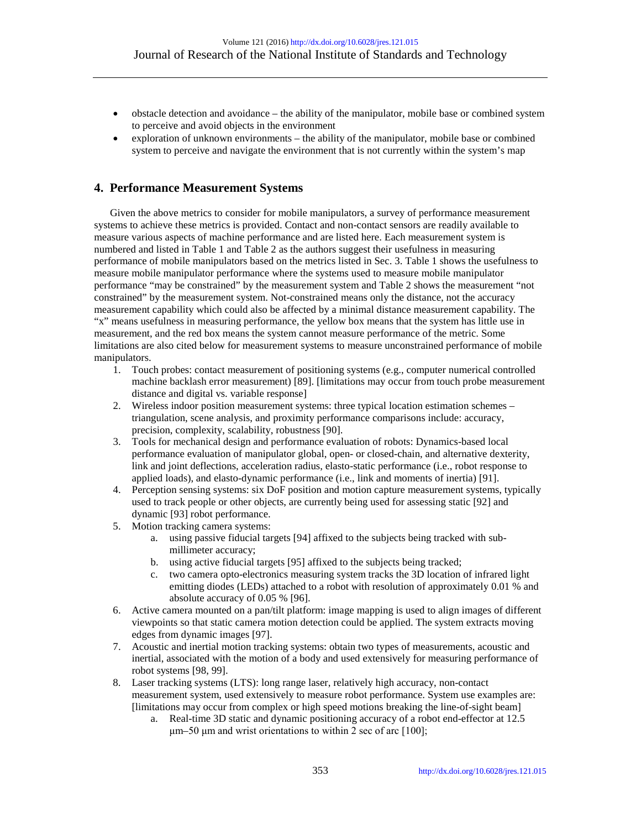- obstacle detection and avoidance the ability of the manipulator, mobile base or combined system to perceive and avoid objects in the environment
- exploration of unknown environments the ability of the manipulator, mobile base or combined system to perceive and navigate the environment that is not currently within the system's map

# **4. Performance Measurement Systems**

 Given the above metrics to consider for mobile manipulators, a survey of performance measurement systems to achieve these metrics is provided. Contact and non-contact sensors are readily available to measure various aspects of machine performance and are listed here. Each measurement system is numbered and listed in Table 1 and Table 2 as the authors suggest their usefulness in measuring performance of mobile manipulators based on the metrics listed in Sec. 3. Table 1 shows the usefulness to measure mobile manipulator performance where the systems used to measure mobile manipulator performance "may be constrained" by the measurement system and Table 2 shows the measurement "not constrained" by the measurement system. Not-constrained means only the distance, not the accuracy measurement capability which could also be affected by a minimal distance measurement capability. The "x" means usefulness in measuring performance, the yellow box means that the system has little use in measurement, and the red box means the system cannot measure performance of the metric. Some limitations are also cited below for measurement systems to measure unconstrained performance of mobile manipulators.

- 1. Touch probes: contact measurement of positioning systems (e.g., computer numerical controlled machine backlash error measurement) [89]. [limitations may occur from touch probe measurement distance and digital vs. variable response]
- 2. Wireless indoor position measurement systems: three typical location estimation schemes triangulation, scene analysis, and proximity performance comparisons include: accuracy, precision, complexity, scalability, robustness [90].
- 3. Tools for mechanical design and performance evaluation of robots: Dynamics-based local performance evaluation of manipulator global, open- or closed-chain, and alternative dexterity, link and joint deflections, acceleration radius, elasto-static performance (i.e., robot response to applied loads), and elasto-dynamic performance (i.e., link and moments of inertia) [91].
- 4. Perception sensing systems: six DoF position and motion capture measurement systems, typically used to track people or other objects, are currently being used for assessing static [92] and dynamic [93] robot performance.
- 5. Motion tracking camera systems:
	- a. using passive fiducial targets [94] affixed to the subjects being tracked with submillimeter accuracy;
	- b. using active fiducial targets [95] affixed to the subjects being tracked;
	- c. two camera opto-electronics measuring system tracks the 3D location of infrared light emitting diodes (LEDs) attached to a robot with resolution of approximately 0.01 % and absolute accuracy of 0.05 % [96].
- 6. Active camera mounted on a pan/tilt platform: image mapping is used to align images of different viewpoints so that static camera motion detection could be applied. The system extracts moving edges from dynamic images [97].
- 7. Acoustic and inertial motion tracking systems: obtain two types of measurements, acoustic and inertial, associated with the motion of a body and used extensively for measuring performance of robot systems [98, 99].
- 8. Laser tracking systems (LTS): long range laser, relatively high accuracy, non-contact measurement system, used extensively to measure robot performance. System use examples are: [limitations may occur from complex or high speed motions breaking the line-of-sight beam]
	- a. Real-time 3D static and dynamic positioning accuracy of a robot end-effector at 12.5  $\mu$ m–50  $\mu$ m and wrist orientations to within 2 sec of arc [100];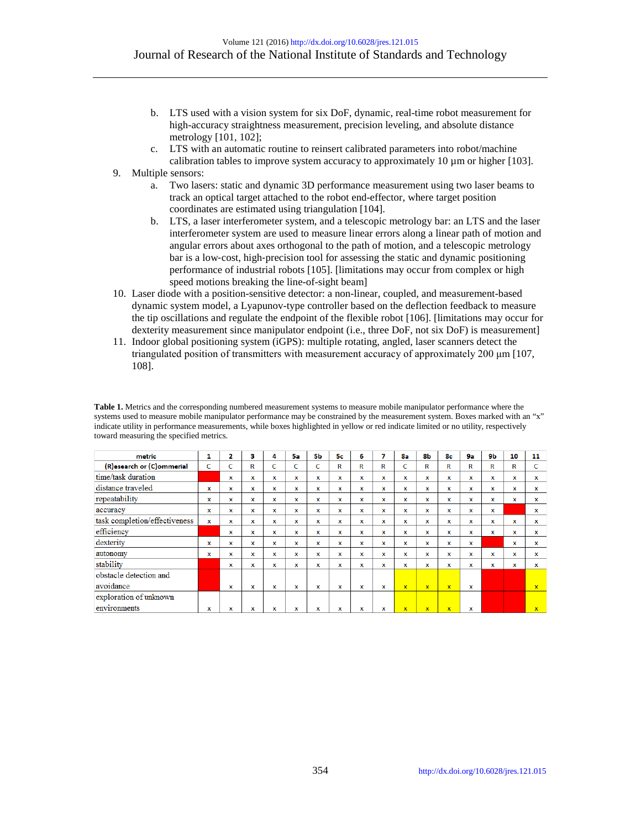- b. LTS used with a vision system for six DoF, dynamic, real-time robot measurement for high-accuracy straightness measurement, precision leveling, and absolute distance metrology [101, 102];
- c. LTS with an automatic routine to reinsert calibrated parameters into robot/machine calibration tables to improve system accuracy to approximately 10 µm or higher [103].

## 9. Multiple sensors:

- a. Two lasers: static and dynamic 3D performance measurement using two laser beams to track an optical target attached to the robot end-effector, where target position coordinates are estimated using triangulation [104].
- b. LTS, a laser interferometer system, and a telescopic metrology bar: an LTS and the laser interferometer system are used to measure linear errors along a linear path of motion and angular errors about axes orthogonal to the path of motion, and a telescopic metrology bar is a low-cost, high-precision tool for assessing the static and dynamic positioning performance of industrial robots [105]. [limitations may occur from complex or high speed motions breaking the line-of-sight beam]
- 10. Laser diode with a position-sensitive detector: a non-linear, coupled, and measurement-based dynamic system model, a Lyapunov-type controller based on the deflection feedback to measure the tip oscillations and regulate the endpoint of the flexible robot [106]. [limitations may occur for dexterity measurement since manipulator endpoint (i.e., three DoF, not six DoF) is measurement]
- 11. Indoor global positioning system (iGPS): multiple rotating, angled, laser scanners detect the triangulated position of transmitters with measurement accuracy of approximately 200 μm [107, 108].

**Table 1.** Metrics and the corresponding numbered measurement systems to measure mobile manipulator performance where the systems used to measure mobile manipulator performance may be constrained by the measurement system. Boxes marked with an "x" indicate utility in performance measurements, while boxes highlighted in yellow or red indicate limited or no utility, respectively toward measuring the specified metrics.

| metric                        | 1 | 2 | з | 4 | 5a          | 5b | 5с | 6 | 7 | 85                      | 8b           | 8с           | 9a | 9 <b>b</b> | 10 | 11           |
|-------------------------------|---|---|---|---|-------------|----|----|---|---|-------------------------|--------------|--------------|----|------------|----|--------------|
| (R)esearch or (C)ommerial     | C | Ċ | R | C | C           | C  | R  | R | R | C                       | R            | R            | R  | R          | R  | c            |
| time/task duration            |   | x | X | x | $\mathbf x$ | x  | x  | x | x | x                       | x            | X            | x  | x          | x  | x            |
| distance traveled             | X | x | x | x | x           | x  | x  | x | x | x                       | x            | x            | x  | x          | x  | x            |
| repeatability                 | x | x | x | x | x           | x  | x  | x | x | x                       | x            | x            | x  | x          | x  | x            |
| accuracy                      | x | x | x | x | x           | x  | x  | x | x | x                       | x            | x            | x  | x          |    | x            |
| task completion/effectiveness | X | x | x | x | x           | x  | x  | x | x | x                       | x            | x            | x  | x          | X  | x            |
| efficiency                    |   | x | x | x | x           | x  | x  | x | x | x                       | x            | x            | x  | x          | x  | x            |
| dexterity                     | X | x | x | x | x           | x  | x  | x | x | x                       | x            | X            | x  |            | x  | x            |
| autonomy                      | x | x | x | x | x           | x  | x  | x | x | x                       | x            | X            | x  | x          | x  | x            |
| stability                     |   | x | x | x | x           | x  | x  | x | x | X                       | x            | X            | x  | x          | X  | x            |
| obstacle detection and        |   |   |   |   |             |    |    |   |   |                         |              |              |    |            |    |              |
| avoidance                     |   | x | x | x | x           | x  | x  | x | x | $\overline{\mathbf{x}}$ | $\mathbf{x}$ | $\mathbf{x}$ | x  |            |    | $\mathbf{x}$ |
| exploration of unknown        |   |   |   |   |             |    |    |   |   |                         |              |              |    |            |    |              |
| environments                  | x | x | x | x | x           | x  | x  | x | x | $\overline{\mathbf{x}}$ | $\mathbf{x}$ | $\mathbf{x}$ | x  |            |    | $\mathbf{x}$ |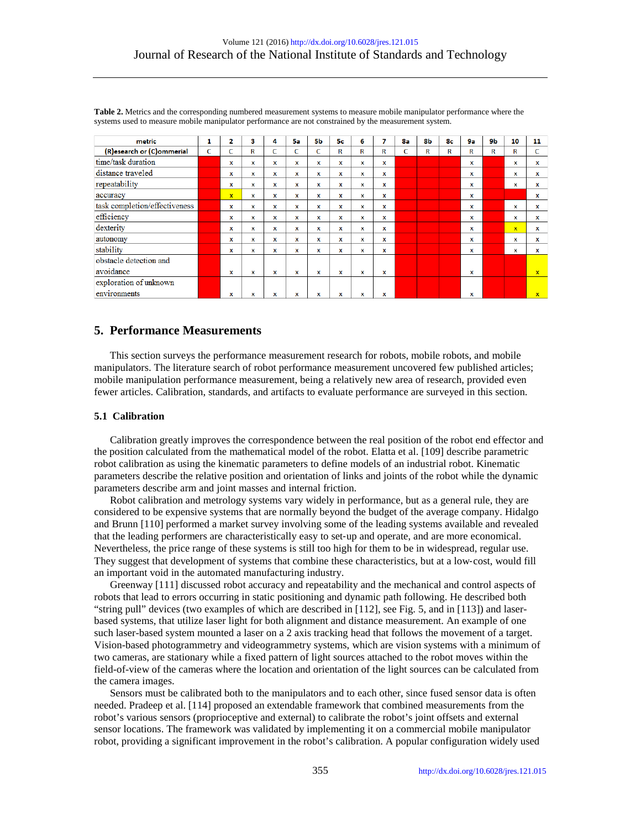| metric                        | 1 | 2            | з | 4  | 5a          | 5b | 5с | 6 | 7 | 83 | 8b | 8c | <b>9a</b> | 9 <b>b</b> | 10           | 11           |
|-------------------------------|---|--------------|---|----|-------------|----|----|---|---|----|----|----|-----------|------------|--------------|--------------|
| (R) esearch or (C) ommerial   | c | C            | R | C. | c           | C  | R  | R | R | C  | R  | R  | R         | R          | R            |              |
| time/task duration            |   | x            | x | x  | x           | x  | x  | x | x |    |    |    | x         |            | x            | x            |
| distance traveled             |   | x            | x | x  | $\mathbf x$ | x  | x  | x | x |    |    |    | x         |            | x            | x            |
| repeatability                 |   | x            | X | x  | x           | x  | x  | x | x |    |    |    | x         |            | x            | x            |
| accuracy                      |   | $\mathbf{x}$ | X | x  | x           | x  | x  | x | x |    |    |    | x         |            |              | x            |
| task completion/effectiveness |   | x            | x | x  | x           | x  | x  | x | x |    |    |    | x         |            | x            | x            |
| efficiency                    |   | x            | x | x  | x           | x  | x  | x | x |    |    |    | x         |            | x            | x            |
| dexterity                     |   | x            | x | x  | x           | x  | x  | x | x |    |    |    | x         |            | $\mathbf{x}$ | x            |
| autonomy                      |   | x            | X | x  | x           | x  | x  | x | x |    |    |    | x         |            | x            | x            |
| stability                     |   | $\mathbf x$  | x | x  | x           | x  | x  | x | x |    |    |    | x         |            | x            | x            |
| obstacle detection and        |   |              |   |    |             |    |    |   |   |    |    |    |           |            |              |              |
| avoidance                     |   | X            | x | x  | x           | x  | X  | x | x |    |    |    | x         |            |              | $\mathbf{x}$ |
| exploration of unknown        |   |              |   |    |             |    |    |   |   |    |    |    |           |            |              |              |
| environments                  |   | x            | x | x  | x           | x  | x  | x | x |    |    |    | x         |            |              | $\mathbf{x}$ |

**Table 2.** Metrics and the corresponding numbered measurement systems to measure mobile manipulator performance where the systems used to measure mobile manipulator performance are not constrained by the measurement system.

# **5. Performance Measurements**

 This section surveys the performance measurement research for robots, mobile robots, and mobile manipulators. The literature search of robot performance measurement uncovered few published articles; mobile manipulation performance measurement, being a relatively new area of research, provided even fewer articles. Calibration, standards, and artifacts to evaluate performance are surveyed in this section.

# **5.1 Calibration**

 Calibration greatly improves the correspondence between the real position of the robot end effector and the position calculated from the mathematical model of the robot. Elatta et al. [109] describe parametric robot calibration as using the kinematic parameters to define models of an industrial robot. Kinematic parameters describe the relative position and orientation of links and joints of the robot while the dynamic parameters describe arm and joint masses and internal friction.

 Robot calibration and metrology systems vary widely in performance, but as a general rule, they are considered to be expensive systems that are normally beyond the budget of the average company. Hidalgo and Brunn [110] performed a market survey involving some of the leading systems available and revealed that the leading performers are characteristically easy to set‐up and operate, and are more economical. Nevertheless, the price range of these systems is still too high for them to be in widespread, regular use. They suggest that development of systems that combine these characteristics, but at a low‐cost, would fill an important void in the automated manufacturing industry.

 Greenway [111] discussed robot accuracy and repeatability and the mechanical and control aspects of robots that lead to errors occurring in static positioning and dynamic path following. He described both "string pull" devices (two examples of which are described in [112], see Fig. 5, and in [113]) and laserbased systems, that utilize laser light for both alignment and distance measurement. An example of one such laser-based system mounted a laser on a 2 axis tracking head that follows the movement of a target. Vision-based photogrammetry and videogrammetry systems, which are vision systems with a minimum of two cameras, are stationary while a fixed pattern of light sources attached to the robot moves within the field-of-view of the cameras where the location and orientation of the light sources can be calculated from the camera images.

 Sensors must be calibrated both to the manipulators and to each other, since fused sensor data is often needed. Pradeep et al. [114] proposed an extendable framework that combined measurements from the robot's various sensors (proprioceptive and external) to calibrate the robot's joint offsets and external sensor locations. The framework was validated by implementing it on a commercial mobile manipulator robot, providing a significant improvement in the robot's calibration. A popular configuration widely used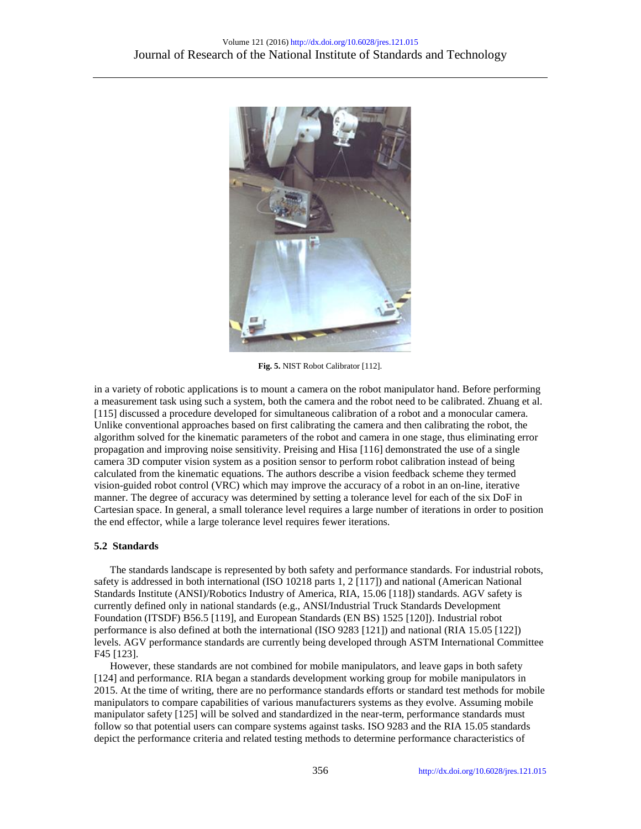

**Fig. 5.** NIST Robot Calibrator [112].

in a variety of robotic applications is to mount a camera on the robot manipulator hand. Before performing a measurement task using such a system, both the camera and the robot need to be calibrated. Zhuang et al. [115] discussed a procedure developed for simultaneous calibration of a robot and a monocular camera. Unlike conventional approaches based on first calibrating the camera and then calibrating the robot, the algorithm solved for the kinematic parameters of the robot and camera in one stage, thus eliminating error propagation and improving noise sensitivity. Preising and Hisa [116] demonstrated the use of a single camera 3D computer vision system as a position sensor to perform robot calibration instead of being calculated from the kinematic equations. The authors describe a vision feedback scheme they termed vision-guided robot control (VRC) which may improve the accuracy of a robot in an on-line, iterative manner. The degree of accuracy was determined by setting a tolerance level for each of the six DoF in Cartesian space. In general, a small tolerance level requires a large number of iterations in order to position the end effector, while a large tolerance level requires fewer iterations.

## **5.2 Standards**

 The standards landscape is represented by both safety and performance standards. For industrial robots, safety is addressed in both international (ISO 10218 parts 1, 2 [117]) and national (American National Standards Institute (ANSI)/Robotics Industry of America, RIA, 15.06 [118]) standards. AGV safety is currently defined only in national standards (e.g., ANSI/Industrial Truck Standards Development Foundation (ITSDF) B56.5 [119], and European Standards (EN BS) 1525 [120]). Industrial robot performance is also defined at both the international (ISO 9283 [121]) and national (RIA 15.05 [122]) levels. AGV performance standards are currently being developed through ASTM International Committee F45 [123].

 However, these standards are not combined for mobile manipulators, and leave gaps in both safety [124] and performance. RIA began a standards development working group for mobile manipulators in 2015. At the time of writing, there are no performance standards efforts or standard test methods for mobile manipulators to compare capabilities of various manufacturers systems as they evolve. Assuming mobile manipulator safety [125] will be solved and standardized in the near-term, performance standards must follow so that potential users can compare systems against tasks. ISO 9283 and the RIA 15.05 standards depict the performance criteria and related testing methods to determine performance characteristics of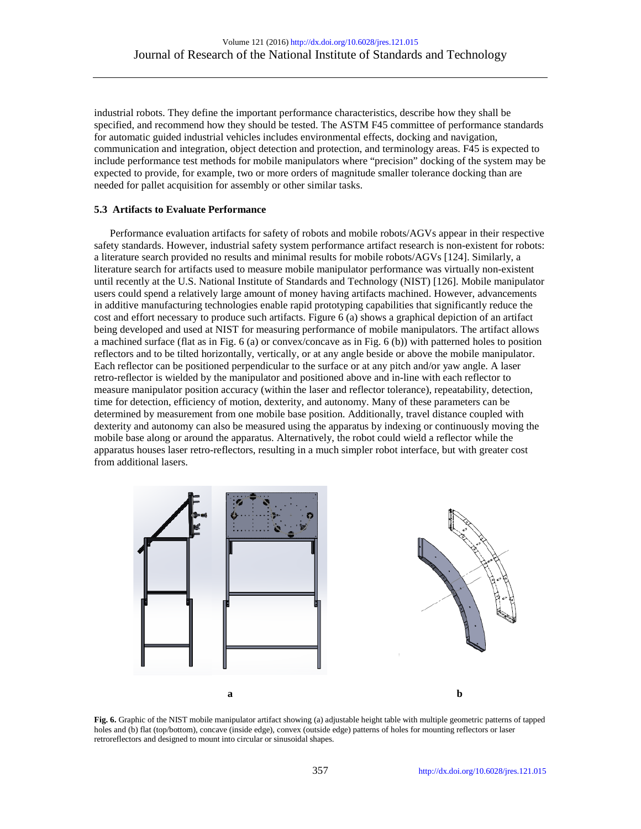industrial robots. They define the important performance characteristics, describe how they shall be specified, and recommend how they should be tested. The ASTM F45 committee of performance standards for automatic guided industrial vehicles includes environmental effects, docking and navigation, communication and integration, object detection and protection, and terminology areas. F45 is expected to include performance test methods for mobile manipulators where "precision" docking of the system may be expected to provide, for example, two or more orders of magnitude smaller tolerance docking than are needed for pallet acquisition for assembly or other similar tasks.

## **5.3 Artifacts to Evaluate Performance**

 Performance evaluation artifacts for safety of robots and mobile robots/AGVs appear in their respective safety standards. However, industrial safety system performance artifact research is non-existent for robots: a literature search provided no results and minimal results for mobile robots/AGVs [124]. Similarly, a literature search for artifacts used to measure mobile manipulator performance was virtually non-existent until recently at the U.S. National Institute of Standards and Technology (NIST) [126]. Mobile manipulator users could spend a relatively large amount of money having artifacts machined. However, advancements in additive manufacturing technologies enable rapid prototyping capabilities that significantly reduce the cost and effort necessary to produce such artifacts. Figure 6 (a) shows a graphical depiction of an artifact being developed and used at NIST for measuring performance of mobile manipulators. The artifact allows a machined surface (flat as in Fig. 6 (a) or convex/concave as in Fig. 6 (b)) with patterned holes to position reflectors and to be tilted horizontally, vertically, or at any angle beside or above the mobile manipulator. Each reflector can be positioned perpendicular to the surface or at any pitch and/or yaw angle. A laser retro-reflector is wielded by the manipulator and positioned above and in-line with each reflector to measure manipulator position accuracy (within the laser and reflector tolerance), repeatability, detection, time for detection, efficiency of motion, dexterity, and autonomy. Many of these parameters can be determined by measurement from one mobile base position. Additionally, travel distance coupled with dexterity and autonomy can also be measured using the apparatus by indexing or continuously moving the mobile base along or around the apparatus. Alternatively, the robot could wield a reflector while the apparatus houses laser retro-reflectors, resulting in a much simpler robot interface, but with greater cost from additional lasers.



**Fig. 6.** Graphic of the NIST mobile manipulator artifact showing (a) adjustable height table with multiple geometric patterns of tapped holes and (b) flat (top/bottom), concave (inside edge), convex (outside edge) patterns of holes for mounting reflectors or laser retroreflectors and designed to mount into circular or sinusoidal shapes.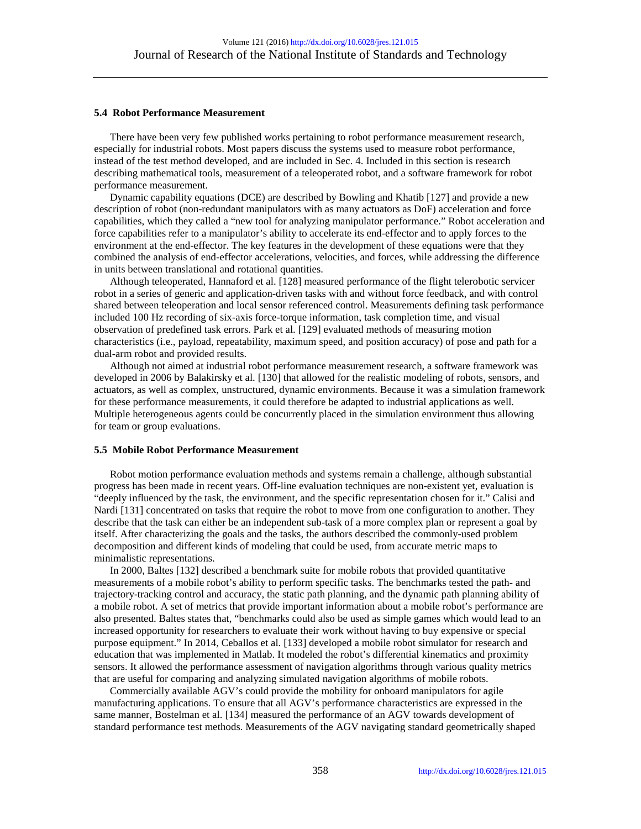#### **5.4 Robot Performance Measurement**

 There have been very few published works pertaining to robot performance measurement research, especially for industrial robots. Most papers discuss the systems used to measure robot performance, instead of the test method developed, and are included in Sec. 4. Included in this section is research describing mathematical tools, measurement of a teleoperated robot, and a software framework for robot performance measurement.

 Dynamic capability equations (DCE) are described by Bowling and Khatib [127] and provide a new description of robot (non-redundant manipulators with as many actuators as DoF) acceleration and force capabilities, which they called a "new tool for analyzing manipulator performance." Robot acceleration and force capabilities refer to a manipulator's ability to accelerate its end-effector and to apply forces to the environment at the end-effector. The key features in the development of these equations were that they combined the analysis of end-effector accelerations, velocities, and forces, while addressing the difference in units between translational and rotational quantities.

 Although teleoperated, Hannaford et al. [128] measured performance of the flight telerobotic servicer robot in a series of generic and application-driven tasks with and without force feedback, and with control shared between teleoperation and local sensor referenced control. Measurements defining task performance included 100 Hz recording of six-axis force-torque information, task completion time, and visual observation of predefined task errors. Park et al. [129] evaluated methods of measuring motion characteristics (i.e., payload, repeatability, maximum speed, and position accuracy) of pose and path for a dual-arm robot and provided results.

 Although not aimed at industrial robot performance measurement research, a software framework was developed in 2006 by Balakirsky et al. [130] that allowed for the realistic modeling of robots, sensors, and actuators, as well as complex, unstructured, dynamic environments. Because it was a simulation framework for these performance measurements, it could therefore be adapted to industrial applications as well. Multiple heterogeneous agents could be concurrently placed in the simulation environment thus allowing for team or group evaluations.

#### **5.5 Mobile Robot Performance Measurement**

 Robot motion performance evaluation methods and systems remain a challenge, although substantial progress has been made in recent years. Off-line evaluation techniques are non-existent yet, evaluation is "deeply influenced by the task, the environment, and the specific representation chosen for it." Calisi and Nardi [131] concentrated on tasks that require the robot to move from one configuration to another. They describe that the task can either be an independent sub-task of a more complex plan or represent a goal by itself. After characterizing the goals and the tasks, the authors described the commonly-used problem decomposition and different kinds of modeling that could be used, from accurate metric maps to minimalistic representations.

 In 2000, Baltes [132] described a benchmark suite for mobile robots that provided quantitative measurements of a mobile robot's ability to perform specific tasks. The benchmarks tested the path- and trajectory-tracking control and accuracy, the static path planning, and the dynamic path planning ability of a mobile robot. A set of metrics that provide important information about a mobile robot's performance are also presented. Baltes states that, "benchmarks could also be used as simple games which would lead to an increased opportunity for researchers to evaluate their work without having to buy expensive or special purpose equipment." In 2014, Ceballos et al. [133] developed a mobile robot simulator for research and education that was implemented in Matlab. It modeled the robot's differential kinematics and proximity sensors. It allowed the performance assessment of navigation algorithms through various quality metrics that are useful for comparing and analyzing simulated navigation algorithms of mobile robots.

 Commercially available AGV's could provide the mobility for onboard manipulators for agile manufacturing applications. To ensure that all AGV's performance characteristics are expressed in the same manner, Bostelman et al. [134] measured the performance of an AGV towards development of standard performance test methods. Measurements of the AGV navigating standard geometrically shaped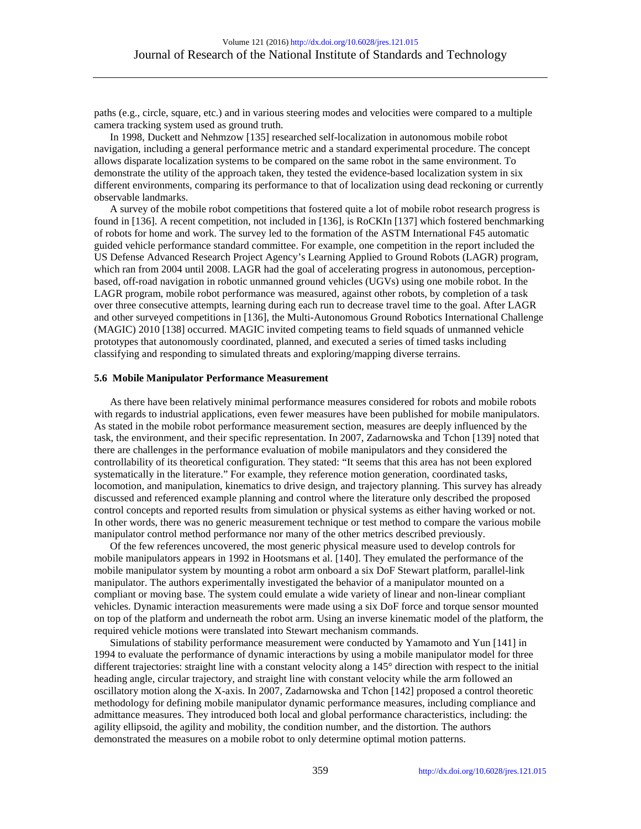paths (e.g., circle, square, etc.) and in various steering modes and velocities were compared to a multiple camera tracking system used as ground truth.

 In 1998, Duckett and Nehmzow [135] researched self-localization in autonomous mobile robot navigation, including a general performance metric and a standard experimental procedure. The concept allows disparate localization systems to be compared on the same robot in the same environment. To demonstrate the utility of the approach taken, they tested the evidence-based localization system in six different environments, comparing its performance to that of localization using dead reckoning or currently observable landmarks.

 A survey of the mobile robot competitions that fostered quite a lot of mobile robot research progress is found in [136]. A recent competition, not included in [136], is RoCKIn [137] which fostered benchmarking of robots for home and work. The survey led to the formation of the ASTM International F45 automatic guided vehicle performance standard committee. For example, one competition in the report included the US Defense Advanced Research Project Agency's Learning Applied to Ground Robots (LAGR) program, which ran from 2004 until 2008. LAGR had the goal of accelerating progress in autonomous, perceptionbased, off-road navigation in robotic unmanned ground vehicles (UGVs) using one mobile robot. In the LAGR program, mobile robot performance was measured, against other robots, by completion of a task over three consecutive attempts, learning during each run to decrease travel time to the goal. After LAGR and other surveyed competitions in [136], the Multi-Autonomous Ground Robotics International Challenge (MAGIC) 2010 [138] occurred. MAGIC invited competing teams to field squads of unmanned vehicle prototypes that autonomously coordinated, planned, and executed a series of timed tasks including classifying and responding to simulated threats and exploring/mapping diverse terrains.

### **5.6 Mobile Manipulator Performance Measurement**

 As there have been relatively minimal performance measures considered for robots and mobile robots with regards to industrial applications, even fewer measures have been published for mobile manipulators. As stated in the mobile robot performance measurement section, measures are deeply influenced by the task, the environment, and their specific representation. In 2007, Zadarnowska and Tchon [139] noted that there are challenges in the performance evaluation of mobile manipulators and they considered the controllability of its theoretical configuration. They stated: "It seems that this area has not been explored systematically in the literature." For example, they reference motion generation, coordinated tasks, locomotion, and manipulation, kinematics to drive design, and trajectory planning. This survey has already discussed and referenced example planning and control where the literature only described the proposed control concepts and reported results from simulation or physical systems as either having worked or not. In other words, there was no generic measurement technique or test method to compare the various mobile manipulator control method performance nor many of the other metrics described previously.

 Of the few references uncovered, the most generic physical measure used to develop controls for mobile manipulators appears in 1992 in Hootsmans et al. [140]. They emulated the performance of the mobile manipulator system by mounting a robot arm onboard a six DoF Stewart platform, parallel-link manipulator. The authors experimentally investigated the behavior of a manipulator mounted on a compliant or moving base. The system could emulate a wide variety of linear and non-linear compliant vehicles. Dynamic interaction measurements were made using a six DoF force and torque sensor mounted on top of the platform and underneath the robot arm. Using an inverse kinematic model of the platform, the required vehicle motions were translated into Stewart mechanism commands.

 Simulations of stability performance measurement were conducted by Yamamoto and Yun [141] in 1994 to evaluate the performance of dynamic interactions by using a mobile manipulator model for three different trajectories: straight line with a constant velocity along a 145° direction with respect to the initial heading angle, circular trajectory, and straight line with constant velocity while the arm followed an oscillatory motion along the X-axis. In 2007, Zadarnowska and Tchon [142] proposed a control theoretic methodology for defining mobile manipulator dynamic performance measures, including compliance and admittance measures. They introduced both local and global performance characteristics, including: the agility ellipsoid, the agility and mobility, the condition number, and the distortion. The authors demonstrated the measures on a mobile robot to only determine optimal motion patterns.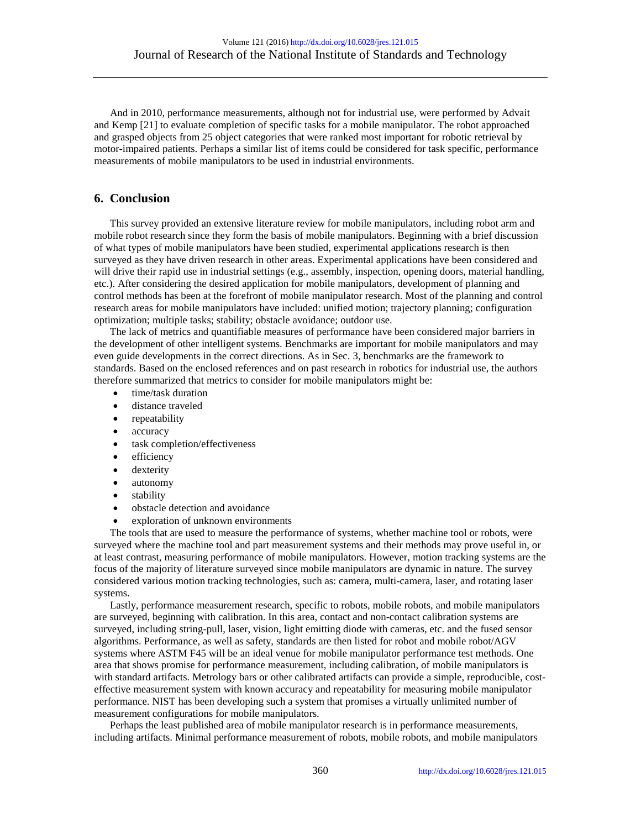And in 2010, performance measurements, although not for industrial use, were performed by Advait and Kemp [21] to evaluate completion of specific tasks for a mobile manipulator. The robot approached and grasped objects from 25 object categories that were ranked most important for robotic retrieval by motor-impaired patients. Perhaps a similar list of items could be considered for task specific, performance measurements of mobile manipulators to be used in industrial environments.

# **6. Conclusion**

 This survey provided an extensive literature review for mobile manipulators, including robot arm and mobile robot research since they form the basis of mobile manipulators. Beginning with a brief discussion of what types of mobile manipulators have been studied, experimental applications research is then surveyed as they have driven research in other areas. Experimental applications have been considered and will drive their rapid use in industrial settings (e.g., assembly, inspection, opening doors, material handling, etc.). After considering the desired application for mobile manipulators, development of planning and control methods has been at the forefront of mobile manipulator research. Most of the planning and control research areas for mobile manipulators have included: unified motion; trajectory planning; configuration optimization; multiple tasks; stability; obstacle avoidance; outdoor use.

 The lack of metrics and quantifiable measures of performance have been considered major barriers in the development of other intelligent systems. Benchmarks are important for mobile manipulators and may even guide developments in the correct directions. As in Sec. 3, benchmarks are the framework to standards. Based on the enclosed references and on past research in robotics for industrial use, the authors therefore summarized that metrics to consider for mobile manipulators might be:

- time/task duration
- distance traveled
- repeatability
- accuracy
- task completion/effectiveness
- efficiency
- dexterity
- autonomy
- stability
- obstacle detection and avoidance
- exploration of unknown environments

 The tools that are used to measure the performance of systems, whether machine tool or robots, were surveyed where the machine tool and part measurement systems and their methods may prove useful in, or at least contrast, measuring performance of mobile manipulators. However, motion tracking systems are the focus of the majority of literature surveyed since mobile manipulators are dynamic in nature. The survey considered various motion tracking technologies, such as: camera, multi-camera, laser, and rotating laser systems.

 Lastly, performance measurement research, specific to robots, mobile robots, and mobile manipulators are surveyed, beginning with calibration. In this area, contact and non-contact calibration systems are surveyed, including string-pull, laser, vision, light emitting diode with cameras, etc. and the fused sensor algorithms. Performance, as well as safety, standards are then listed for robot and mobile robot/AGV systems where ASTM F45 will be an ideal venue for mobile manipulator performance test methods. One area that shows promise for performance measurement, including calibration, of mobile manipulators is with standard artifacts. Metrology bars or other calibrated artifacts can provide a simple, reproducible, costeffective measurement system with known accuracy and repeatability for measuring mobile manipulator performance. NIST has been developing such a system that promises a virtually unlimited number of measurement configurations for mobile manipulators.

 Perhaps the least published area of mobile manipulator research is in performance measurements, including artifacts. Minimal performance measurement of robots, mobile robots, and mobile manipulators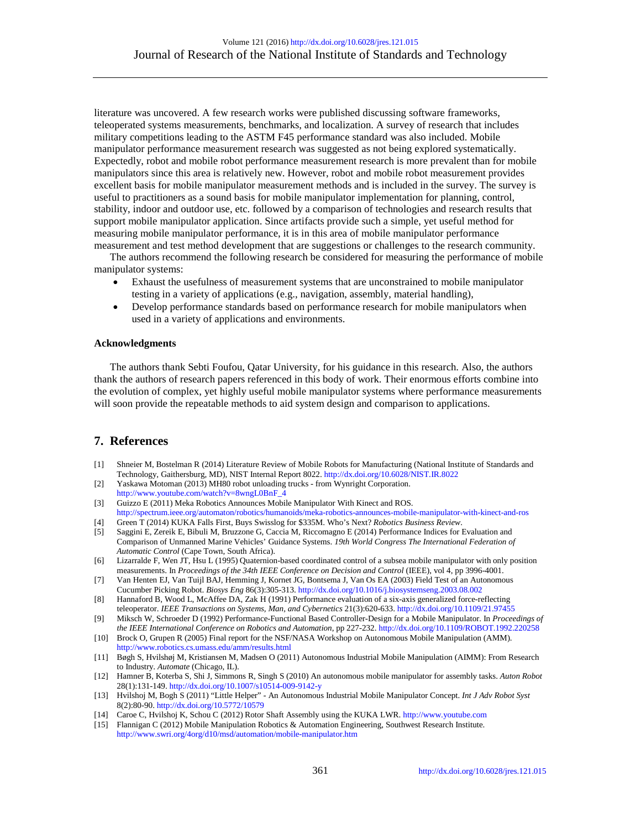literature was uncovered. A few research works were published discussing software frameworks, teleoperated systems measurements, benchmarks, and localization. A survey of research that includes military competitions leading to the ASTM F45 performance standard was also included. Mobile manipulator performance measurement research was suggested as not being explored systematically. Expectedly, robot and mobile robot performance measurement research is more prevalent than for mobile manipulators since this area is relatively new. However, robot and mobile robot measurement provides excellent basis for mobile manipulator measurement methods and is included in the survey. The survey is useful to practitioners as a sound basis for mobile manipulator implementation for planning, control, stability, indoor and outdoor use, etc. followed by a comparison of technologies and research results that support mobile manipulator application. Since artifacts provide such a simple, yet useful method for measuring mobile manipulator performance, it is in this area of mobile manipulator performance measurement and test method development that are suggestions or challenges to the research community.

 The authors recommend the following research be considered for measuring the performance of mobile manipulator systems:

- Exhaust the usefulness of measurement systems that are unconstrained to mobile manipulator testing in a variety of applications (e.g., navigation, assembly, material handling),
- Develop performance standards based on performance research for mobile manipulators when used in a variety of applications and environments.

### **Acknowledgments**

 The authors thank Sebti Foufou, Qatar University, for his guidance in this research. Also, the authors thank the authors of research papers referenced in this body of work. Their enormous efforts combine into the evolution of complex, yet highly useful mobile manipulator systems where performance measurements will soon provide the repeatable methods to aid system design and comparison to applications.

# **7. References**

- [1] Shneier M, Bostelman R (2014) Literature Review of Mobile Robots for Manufacturing (National Institute of Standards and Technology, Gaithersburg, MD), NIST Internal Report 8022. <http://dx.doi.org/10.6028/NIST.IR.8022>
- [2] Yaskawa Motoman (2013) MH80 robot unloading trucks from Wynright Corporation. [http://www.youtube.com/watch?v=8wngL0BnF\\_4](http://www.youtube.com/watch?v=8wngL0BnF_4)
- [3] Guizzo E (2011) Meka Robotics Announces Mobile Manipulator With Kinect and ROS. <http://spectrum.ieee.org/automaton/robotics/humanoids/meka-robotics-announces-mobile-manipulator-with-kinect-and-ros>
- [4] Green T (2014) KUKA Falls First, Buys Swisslog for \$335M. Who's Next? *Robotics Business Review*.
- [5] Saggini E, Zereik E, Bibuli M, Bruzzone G, Caccia M, Riccomagno E (2014) Performance Indices for Evaluation and Comparison of Unmanned Marine Vehicles' Guidance Systems. *19th World Congress The International Federation of Automatic Control* (Cape Town, South Africa).
- [6] Lizarralde F, Wen JT, Hsu L (1995) Quaternion-based coordinated control of a subsea mobile manipulator with only position measurements. In *Proceedings of the 34th IEEE Conference on Decision and Control* (IEEE), vol 4, pp 3996-4001.
- [7] Van Henten EJ, Van Tuijl BAJ, Hemming J, Kornet JG, Bontsema J, Van Os EA (2003) Field Test of an Autonomous Cucumber Picking Robot. *Biosys Eng* 86(3):305-313.<http://dx.doi.org/10.1016/j.biosystemseng.2003.08.002>
- [8] Hannaford B, Wood L, McAffee DA, Zak H (1991) Performance evaluation of a six-axis generalized force-reflecting teleoperator. *IEEE Transactions on Systems, Man, and Cybernetics* 21(3):620-633[. http://dx.doi.org/10.1109/21.97455](http://dx.doi.org/10.1109/21.97455)
- [9] Miksch W, Schroeder D (1992) Performance-Functional Based Controller-Design for a Mobile Manipulator. In *Proceedings of the IEEE International Conference on Robotics and Automation*, pp 227-232. <http://dx.doi.org/10.1109/ROBOT.1992.220258>
- [10] Brock O, Grupen R (2005) Final report for the NSF/NASA Workshop on Autonomous Mobile Manipulation (AMM). <http://www.robotics.cs.umass.edu/amm/results.html>
- [11] Bøgh S, Hvilshøj M, Kristiansen M, Madsen O (2011) Autonomous Industrial Mobile Manipulation (AIMM): From Research to Industry. *Automate* (Chicago, IL).
- [12] Hamner B, Koterba S, Shi J, Simmons R, Singh S (2010) An autonomous mobile manipulator for assembly tasks. *Auton Robot* 28(1):131-149.<http://dx.doi.org/10.1007/s10514-009-9142-y>
- [13] Hvilshoj M, Bogh S (2011) "Little Helper" An Autonomous Industrial Mobile Manipulator Concept. *Int J Adv Robot Syst* 8(2):80-90. <http://dx.doi.org/10.5772/10579>
- [14] Caroe C, Hvilshoj K, Schou C (2012) Rotor Shaft Assembly using the KUKA LWR. [http://www.youtube.com](http://www.youtube.com/)
- [15] Flannigan C (2012) Mobile Manipulation Robotics & Automation Engineering, Southwest Research Institute. <http://www.swri.org/4org/d10/msd/automation/mobile-manipulator.htm>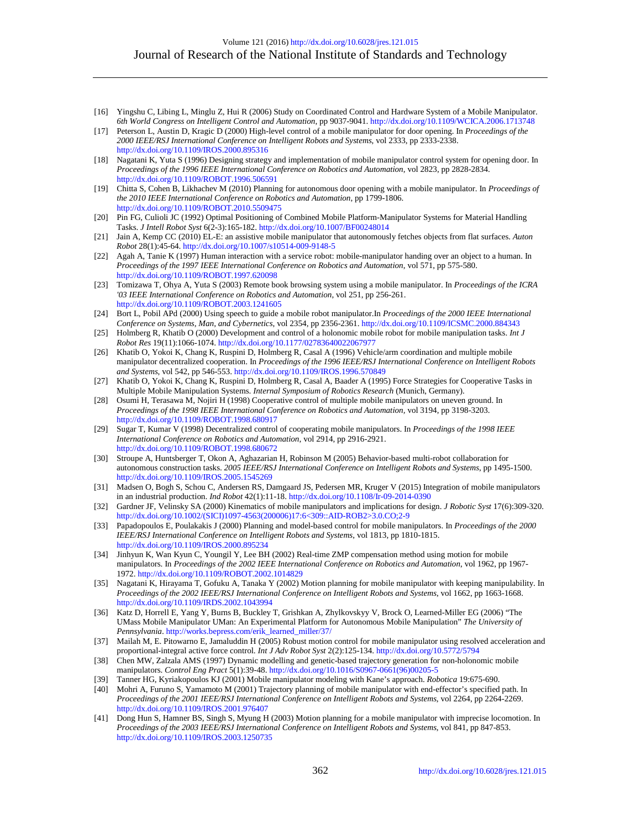- [16] Yingshu C, Libing L, Minglu Z, Hui R (2006) Study on Coordinated Control and Hardware System of a Mobile Manipulator. *6th World Congress on Intelligent Control and Automation*, pp 9037-9041. <http://dx.doi.org/10.1109/WCICA.2006.1713748>
- [17] Peterson L, Austin D, Kragic D (2000) High-level control of a mobile manipulator for door opening. In *Proceedings of the 2000 IEEE/RSJ International Conference on Intelligent Robots and Systems*, vol 2333, pp 2333-2338. <http://dx.doi.org/10.1109/IROS.2000.895316>
- [18] Nagatani K, Yuta S (1996) Designing strategy and implementation of mobile manipulator control system for opening door. In *Proceedings of the 1996 IEEE International Conference on Robotics and Automation*, vol 2823, pp 2828-2834. <http://dx.doi.org/10.1109/ROBOT.1996.506591>
- [19] Chitta S, Cohen B, Likhachev M (2010) Planning for autonomous door opening with a mobile manipulator. In *Proceedings of the 2010 IEEE International Conference on Robotics and Automation*, pp 1799-1806. <http://dx.doi.org/10.1109/ROBOT.2010.5509475>
- [20] Pin FG, Culioli JC (1992) Optimal Positioning of Combined Mobile Platform-Manipulator Systems for Material Handling Tasks. *J Intell Robot Syst* 6(2-3):165-182. <http://dx.doi.org/10.1007/BF00248014>
- [21] Jain A, Kemp CC (2010) EL-E: an assistive mobile manipulator that autonomously fetches objects from flat surfaces. *Auton Robot* 28(1):45-64.<http://dx.doi.org/10.1007/s10514-009-9148-5>
- [22] Agah A, Tanie K (1997) Human interaction with a service robot: mobile-manipulator handing over an object to a human. In *Proceedings of the 1997 IEEE International Conference on Robotics and Automation*, vol 571, pp 575-580. <http://dx.doi.org/10.1109/ROBOT.1997.620098>
- [23] Tomizawa T, Ohya A, Yuta S (2003) Remote book browsing system using a mobile manipulator. In *Proceedings of the ICRA '03 IEEE International Conference on Robotics and Automation*, vol 251, pp 256-261. <http://dx.doi.org/10.1109/ROBOT.2003.1241605>
- [24] Bort L, Pobil APd (2000) Using speech to guide a mobile robot manipulator.In *Proceedings of the 2000 IEEE International Conference on Systems, Man, and Cybernetics*, vol 2354, pp 2356-2361[. http://dx.doi.org/10.1109/ICSMC.2000.884343](http://dx.doi.org/10.1109/ICSMC.2000.884343)
- [25] Holmberg R, Khatib O (2000) Development and control of a holonomic mobile robot for mobile manipulation tasks. *Int J Robot Res* 19(11):1066-1074[. http://dx.doi.org/10.1177/02783640022067977](http://dx.doi.org/10.1177/02783640022067977)
- [26] Khatib O, Yokoi K, Chang K, Ruspini D, Holmberg R, Casal A (1996) Vehicle/arm coordination and multiple mobile manipulator decentralized cooperation. In *Proceedings of the 1996 IEEE/RSJ International Conference on Intelligent Robots and Systems*, vol 542, pp 546-553.<http://dx.doi.org/10.1109/IROS.1996.570849>
- [27] Khatib O, Yokoi K, Chang K, Ruspini D, Holmberg R, Casal A, Baader A (1995) Force Strategies for Cooperative Tasks in Multiple Mobile Manipulation Systems. *Internal Symposium of Robotics Research* (Munich, Germany).
- [28] Osumi H, Terasawa M, Nojiri H (1998) Cooperative control of multiple mobile manipulators on uneven ground. In *Proceedings of the 1998 IEEE International Conference on Robotics and Automation,* vol 3194, pp 3198-3203. <http://dx.doi.org/10.1109/ROBOT.1998.680917>
- [29] Sugar T, Kumar V (1998) Decentralized control of cooperating mobile manipulators. In *Proceedings of the 1998 IEEE International Conference on Robotics and Automation*, vol 2914, pp 2916-2921. <http://dx.doi.org/10.1109/ROBOT.1998.680672>
- [30] Stroupe A, Huntsberger T, Okon A, Aghazarian H, Robinson M (2005) Behavior-based multi-robot collaboration for autonomous construction tasks. *2005 IEEE/RSJ International Conference on Intelligent Robots and Systems*, pp 1495-1500. <http://dx.doi.org/10.1109/IROS.2005.1545269>
- [31] Madsen O, Bogh S, Schou C, Andersen RS, Damgaard JS, Pedersen MR, Kruger V (2015) Integration of mobile manipulators in an industrial production. *Ind Robot* 42(1):11-18[. http://dx.doi.org/10.1108/Ir-09-2014-0390](http://dx.doi.org/10.1108/Ir-09-2014-0390)
- [32] Gardner JF, Velinsky SA (2000) Kinematics of mobile manipulators and implications for design. *J Robotic Syst* 17(6):309-320. [http://dx.doi.org/10.1002/\(SICI\)1097-4563\(200006\)17:6<309::AID-ROB2>3.0.CO;2-9](http://dx.doi.org/10.1002/(SICI)1097-4563(200006)17:6%3c309::AID-ROB2%3e3.0.CO;2-9)
- [33] Papadopoulos E, Poulakakis J (2000) Planning and model-based control for mobile manipulators. In *Proceedings of the 2000 IEEE/RSJ International Conference on Intelligent Robots and Systems*, vol 1813, pp 1810-1815. <http://dx.doi.org/10.1109/IROS.2000.895234>
- [34] Jinhyun K, Wan Kyun C, Youngil Y, Lee BH (2002) Real-time ZMP compensation method using motion for mobile manipulators. In *Proceedings of the 2002 IEEE International Conference on Robotics and Automation*, vol 1962, pp 1967- 1972. <http://dx.doi.org/10.1109/ROBOT.2002.1014829>
- [35] Nagatani K, Hirayama T, Gofuku A, Tanaka Y (2002) Motion planning for mobile manipulator with keeping manipulability. In *Proceedings of the 2002 IEEE/RSJ International Conference on Intelligent Robots and Systems*, vol 1662, pp 1663-1668. <http://dx.doi.org/10.1109/IRDS.2002.1043994>
- [36] Katz D, Horrell E, Yang Y, Burns B, Buckley T, Grishkan A, Zhylkovskyy V, Brock O, Learned-Miller EG (2006) "The UMass Mobile Manipulator UMan: An Experimental Platform for Autonomous Mobile Manipulation" *The University of Pennsylvania*[. http://works.bepress.com/erik\\_learned\\_miller/37/](http://works.bepress.com/erik_learned_miller/37/)
- [37] Mailah M, E. Pitowarno E, Jamaluddin H (2005) Robust motion control for mobile manipulator using resolved acceleration and proportional-integral active force control. *Int J Adv Robot Syst* 2(2):125-134[. http://dx.doi.org/10.5772/5794](http://dx.doi.org/10.5772/5794)
- [38] Chen MW, Zalzala AMS (1997) Dynamic modelling and genetic-based trajectory generation for non-holonomic mobile manipulators. *Control Eng Pract* 5(1):39-48[. http://dx.doi.org/10.1016/S0967-0661\(96\)00205-5](http://dx.doi.org/10.1016/S0967-0661(96)00205-5)
- [39] Tanner HG, Kyriakopoulos KJ (2001) Mobile manipulator modeling with Kane's approach. *Robotica* 19:675-690.
- [40] Mohri A, Furuno S, Yamamoto M (2001) Trajectory planning of mobile manipulator with end-effector's specified path. In *Proceedings of the 2001 IEEE/RSJ International Conference on Intelligent Robots and Systems*, vol 2264, pp 2264-2269. <http://dx.doi.org/10.1109/IROS.2001.976407>
- [41] Dong Hun S, Hamner BS, Singh S, Myung H (2003) Motion planning for a mobile manipulator with imprecise locomotion. In *Proceedings of the 2003 IEEE/RSJ International Conference on Intelligent Robots and Systems*, vol 841, pp 847-853. <http://dx.doi.org/10.1109/IROS.2003.1250735>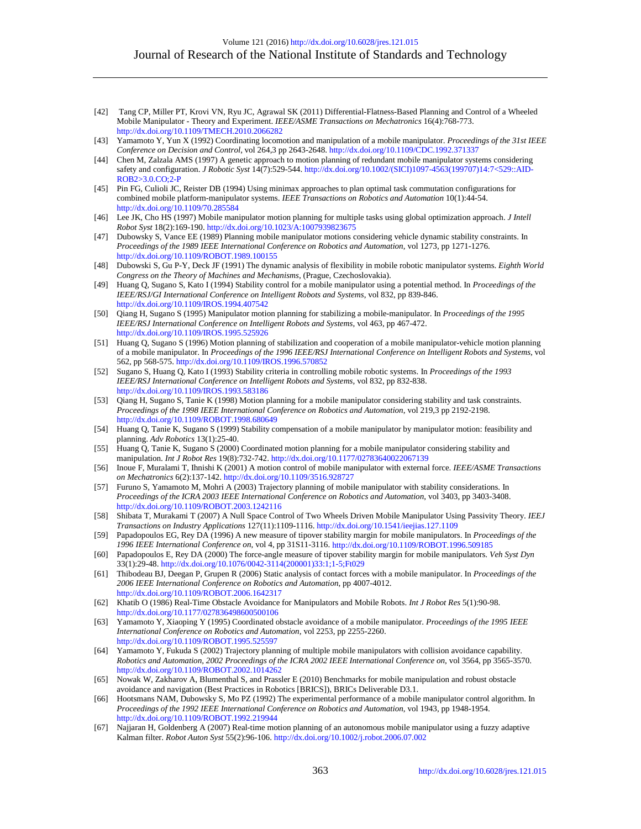- [42] Tang CP, Miller PT, Krovi VN, Ryu JC, Agrawal SK (2011) Differential-Flatness-Based Planning and Control of a Wheeled Mobile Manipulator - Theory and Experiment. *IEEE/ASME Transactions on Mechatronics* 16(4):768-773. <http://dx.doi.org/10.1109/TMECH.2010.2066282>
- [43] Yamamoto Y, Yun X (1992) Coordinating locomotion and manipulation of a mobile manipulator. *Proceedings of the 31st IEEE Conference on Decision and Control*, vol 264,3 pp 2643-2648[. http://dx.doi.org/10.1109/CDC.1992.371337](http://dx.doi.org/10.1109/CDC.1992.371337)
- [44] Chen M, Zalzala AMS (1997) A genetic approach to motion planning of redundant mobile manipulator systems considering safety and configuration. *J Robotic Syst* 14(7):529-544[. http://dx.doi.org/10.1002/\(SICI\)1097-4563\(199707\)14:7<529::AID-](http://dx.doi.org/10.1002/(SICI)1097-4563(199707)14:7%3c529::AID-ROB2%3e3.0.CO;2-P)[ROB2>3.0.CO;2-P](http://dx.doi.org/10.1002/(SICI)1097-4563(199707)14:7%3c529::AID-ROB2%3e3.0.CO;2-P)
- [45] Pin FG, Culioli JC, Reister DB (1994) Using minimax approaches to plan optimal task commutation configurations for combined mobile platform-manipulator systems. *IEEE Transactions on Robotics and Automation* 10(1):44-54. <http://dx.doi.org/10.1109/70.285584>
- [46] Lee JK, Cho HS (1997) Mobile manipulator motion planning for multiple tasks using global optimization approach. *J Intell Robot Syst* 18(2):169-190.<http://dx.doi.org/10.1023/A:1007939823675>
- [47] Dubowsky S, Vance EE (1989) Planning mobile manipulator motions considering vehicle dynamic stability constraints. In *Proceedings of the 1989 IEEE International Conference on Robotics and Automation*, vol 1273, pp 1271-1276. <http://dx.doi.org/10.1109/ROBOT.1989.100155>
- [48] Dubowski S, Gu P-Y, Deck JF (1991) The dynamic analysis of flexibility in mobile robotic manipulator systems. *Eighth World Congress on the Theory of Machines and Mechanisms*, (Prague, Czechoslovakia).
- [49] Huang Q, Sugano S, Kato I (1994) Stability control for a mobile manipulator using a potential method. In *Proceedings of the IEEE/RSJ/GI International Conference on Intelligent Robots and Systems*, vol 832, pp 839-846. <http://dx.doi.org/10.1109/IROS.1994.407542>
- [50] Qiang H, Sugano S (1995) Manipulator motion planning for stabilizing a mobile-manipulator. In *Proceedings of the 1995 IEEE/RSJ International Conference on Intelligent Robots and Systems*, vol 463, pp 467-472. <http://dx.doi.org/10.1109/IROS.1995.525926>
- [51] Huang Q, Sugano S (1996) Motion planning of stabilization and cooperation of a mobile manipulator-vehicle motion planning of a mobile manipulator. In *Proceedings of the 1996 IEEE/RSJ International Conference on Intelligent Robots and Systems*, vol 562, pp 568-575[. http://dx.doi.org/10.1109/IROS.1996.570852](http://dx.doi.org/10.1109/IROS.1996.570852)
- [52] Sugano S, Huang Q, Kato I (1993) Stability criteria in controlling mobile robotic systems. In *Proceedings of the 1993 IEEE/RSJ International Conference on Intelligent Robots and Systems*, vol 832, pp 832-838. <http://dx.doi.org/10.1109/IROS.1993.583186>
- [53] Qiang H, Sugano S, Tanie K (1998) Motion planning for a mobile manipulator considering stability and task constraints. *Proceedings of the 1998 IEEE International Conference on Robotics and Automation*, vol 219,3 pp 2192-2198. <http://dx.doi.org/10.1109/ROBOT.1998.680649>
- [54] Huang Q, Tanie K, Sugano S (1999) Stability compensation of a mobile manipulator by manipulator motion: feasibility and planning. *Adv Robotics* 13(1):25-40.
- [55] Huang Q, Tanie K, Sugano S (2000) Coordinated motion planning for a mobile manipulator considering stability and manipulation. *Int J Robot Res* 19(8):732-742[. http://dx.doi.org/10.1177/02783640022067139](http://dx.doi.org/10.1177/02783640022067139)
- [56] Inoue F, Muralami T, Ihnishi K (2001) A motion control of mobile manipulator with external force. *IEEE/ASME Transactions on Mechatronics* 6(2):137-142.<http://dx.doi.org/10.1109/3516.928727>
- [57] Furuno S, Yamamoto M, Mohri A (2003) Trajectory planning of mobile manipulator with stability considerations. In *Proceedings of the ICRA 2003 IEEE International Conference on Robotics and Automation*, vol 3403, pp 3403-3408. <http://dx.doi.org/10.1109/ROBOT.2003.1242116>
- [58] Shibata T, Murakami T (2007) A Null Space Control of Two Wheels Driven Mobile Manipulator Using Passivity Theory. *IEEJ Transactions on Industry Applications* 127(11):1109-1116[. http://dx.doi.org/10.1541/ieejias.127.1109](http://dx.doi.org/10.1541/ieejias.127.1109)
- [59] Papadopoulos EG, Rey DA (1996) A new measure of tipover stability margin for mobile manipulators. In *Proceedings of the 1996 IEEE International Conference on*, vol 4, pp 31S11-3116[. http://dx.doi.org/10.1109/ROBOT.1996.509185](http://dx.doi.org/10.1109/ROBOT.1996.509185)
- [60] Papadopoulos E, Rey DA (2000) The force-angle measure of tipover stability margin for mobile manipulators. *Veh Syst Dyn* 33(1):29-48. [http://dx.doi.org/10.1076/0042-3114\(200001\)33:1;1-5;Ft029](http://dx.doi.org/10.1076/0042-3114(200001)33:1;1-5;Ft029)
- [61] Thibodeau BJ, Deegan P, Grupen R (2006) Static analysis of contact forces with a mobile manipulator. In *Proceedings of the 2006 IEEE International Conference on Robotics and Automation*, pp 4007-4012. <http://dx.doi.org/10.1109/ROBOT.2006.1642317>
- [62] Khatib O (1986) Real-Time Obstacle Avoidance for Manipulators and Mobile Robots. *Int J Robot Res* 5(1):90-98. <http://dx.doi.org/10.1177/027836498600500106>
- [63] Yamamoto Y, Xiaoping Y (1995) Coordinated obstacle avoidance of a mobile manipulator. *Proceedings of the 1995 IEEE International Conference on Robotics and Automation,* vol 2253, pp 2255-2260. <http://dx.doi.org/10.1109/ROBOT.1995.525597>
- [64] Yamamoto Y, Fukuda S (2002) Trajectory planning of multiple mobile manipulators with collision avoidance capability. *Robotics and Automation, 2002 Proceedings of the ICRA 2002 IEEE International Conference on*, vol 3564, pp 3565-3570. <http://dx.doi.org/10.1109/ROBOT.2002.1014262>
- [65] Nowak W, Zakharov A, Blumenthal S, and Prassler E (2010) Benchmarks for mobile manipulation and robust obstacle avoidance and navigation (Best Practices in Robotics [BRICS]), BRICs Deliverable D3.1.
- [66] Hootsmans NAM, Dubowsky S, Mo PZ (1992) The experimental performance of a mobile manipulator control algorithm. In *Proceedings of the 1992 IEEE International Conference on Robotics and Automation*, vol 1943, pp 1948-1954. <http://dx.doi.org/10.1109/ROBOT.1992.219944>
- [67] Najjaran H, Goldenberg A (2007) Real-time motion planning of an autonomous mobile manipulator using a fuzzy adaptive Kalman filter. *Robot Auton Syst* 55(2):96-106.<http://dx.doi.org/10.1002/j.robot.2006.07.002>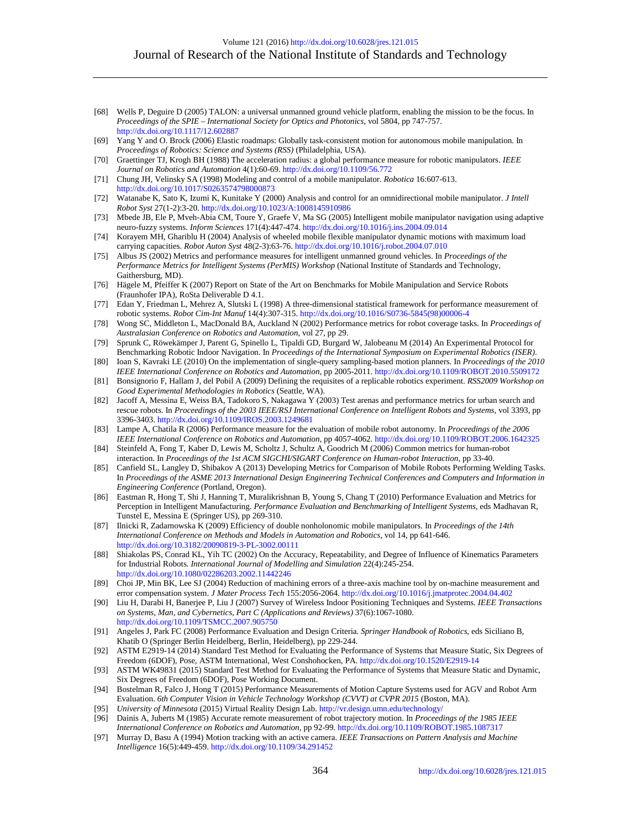- [68] Wells P, Deguire D (2005) TALON: a universal unmanned ground vehicle platform, enabling the mission to be the focus. In *Proceedings of the SPIE – International Society for Optics and Photonics*, vol 5804, pp 747-757. <http://dx.doi.org/10.1117/12.602887>
- [69] Yang Y and O. Brock (2006) Elastic roadmaps: Globally task-consistent motion for autonomous mobile manipulation. In *Proceedings of Robotics: Science and Systems (RSS)* (Philadelphia, USA).
- [70] Graettinger TJ, Krogh BH (1988) The acceleration radius: a global performance measure for robotic manipulators. *IEEE Journal on Robotics and Automation* 4(1):60-69[. http://dx.doi.org/10.1109/56.772](http://dx.doi.org/10.1109/56.772)
- [71] Chung JH, Velinsky SA (1998) Modeling and control of a mobile manipulator. *Robotica* 16:607-613. <http://dx.doi.org/10.1017/S0263574798000873>
- [72] Watanabe K, Sato K, Izumi K, Kunitake Y (2000) Analysis and control for an omnidirectional mobile manipulator. *J Intell Robot Syst* 27(1-2):3-20[. http://dx.doi.org/10.1023/A:1008145910986](http://dx.doi.org/10.1023/A:1008145910986)
- [73] Mbede JB, Ele P, Mveh-Abia CM, Toure Y, Graefe V, Ma SG (2005) Intelligent mobile manipulator navigation using adaptive neuro-fuzzy systems. *Inform Sciences* 171(4):447-474[. http://dx.doi.org/10.1016/j.ins.2004.09.014](http://dx.doi.org/10.1016/j.ins.2004.09.014)
- [74] Korayem MH, Ghariblu H (2004) Analysis of wheeled mobile flexible manipulator dynamic motions with maximum load carrying capacities. *Robot Auton Syst* 48(2-3):63-76.<http://dx.doi.org/10.1016/j.robot.2004.07.010>
- [75] Albus JS (2002) Metrics and performance measures for intelligent unmanned ground vehicles. In *Proceedings of the Performance Metrics for Intelligent Systems (PerMIS) Workshop* (National Institute of Standards and Technology, Gaithersburg, MD).
- [76] Hägele M, Pfeiffer K (2007) Report on State of the Art on Benchmarks for Mobile Manipulation and Service Robots (Fraunhofer IPA), RoSta Deliverable D 4.1.
- [77] Edan Y, Friedman L, Mehrez A, Slutski L (1998) A three-dimensional statistical framework for performance measurement of robotic systems. *Robot Cim-Int Manuf* 14(4):307-315[. http://dx.doi.org/10.1016/S0736-5845\(98\)00006-4](http://dx.doi.org/10.1016/S0736-5845(98)00006-4)
- [78] Wong SC, Middleton L, MacDonald BA, Auckland N (2002) Performance metrics for robot coverage tasks. In *Proceedings of Australasian Conference on Robotics and Automation*, vol 27, pp 29.
- [79] Sprunk C, Röwekämper J, Parent G, Spinello L, Tipaldi GD, Burgard W, Jalobeanu M (2014) An Experimental Protocol for Benchmarking Robotic Indoor Navigation. In *Proceedings of the International Symposium on Experimental Robotics (ISER)*.
- [80] Ioan S, Kavraki LE (2010) On the implementation of single-query sampling-based motion planners. In *Proceedings of the 2010 IEEE International Conference on Robotics and Automation*, pp 2005-2011[. http://dx.doi.org/10.1109/ROBOT.2010.5509172](http://dx.doi.org/10.1109/ROBOT.2010.5509172)
- [81] Bonsignorio F, Hallam J, del Pobil A (2009) Defining the requisites of a replicable robotics experiment. *RSS2009 Workshop on Good Experimental Methodologies in Robotics* (Seattle, WA).
- [82] Jacoff A, Messina E, Weiss BA, Tadokoro S, Nakagawa Y (2003) Test arenas and performance metrics for urban search and rescue robots. In *Proceedings of the 2003 IEEE/RSJ International Conference on Intelligent Robots and Systems*, vol 3393, pp 3396-3403[. http://dx.doi.org/10.1109/IROS.2003.1249681](http://dx.doi.org/10.1109/IROS.2003.1249681)
- [83] Lampe A, Chatila R (2006) Performance measure for the evaluation of mobile robot autonomy. In *Proceedings of the 2006 IEEE International Conference on Robotics and Automation,* pp 4057-4062[. http://dx.doi.org/10.1109/ROBOT.2006.1642325](http://dx.doi.org/10.1109/ROBOT.2006.1642325)
- [84] Steinfeld A, Fong T, Kaber D, Lewis M, Scholtz J, Schultz A, Goodrich M (2006) Common metrics for human-robot interaction. In *Proceedings of the 1st ACM SIGCHI/SIGART Conference on Human-robot Interaction*, pp 33-40.
- [85] Canfield SL, Langley D, Shibakov A (2013) Developing Metrics for Comparison of Mobile Robots Performing Welding Tasks. In *Proceedings of the ASME 2013 International Design Engineering Technical Conferences and Computers and Information in Engineering Conference* (Portland, Oregon).
- [86] Eastman R, Hong T, Shi J, Hanning T, Muralikrishnan B, Young S, Chang T (2010) Performance Evaluation and Metrics for Perception in Intelligent Manufacturing. *Performance Evaluation and Benchmarking of Intelligent Systems*, eds Madhavan R, Tunstel E, Messina E (Springer US), pp 269-310.
- [87] Ilnicki R, Zadarnowska K (2009) Efficiency of double nonholonomic mobile manipulators. In *Proceedings of the 14th International Conference on Methods and Models in Automation and Robotics,* vol 14, pp 641-646. <http://dx.doi.org/10.3182/20090819-3-PL-3002.00111>
- [88] Shiakolas PS, Conrad KL, Yih TC (2002) On the Accuracy, Repeatability, and Degree of Influence of Kinematics Parameters for Industrial Robots. *International Journal of Modelling and Simulation* 22(4):245-254. <http://dx.doi.org/10.1080/02286203.2002.11442246>
- [89] Choi JP, Min BK, Lee SJ (2004) Reduction of machining errors of a three-axis machine tool by on-machine measurement and error compensation system. *J Mater Process Tech* 155:2056-2064[. http://dx.doi.org/10.1016/j.jmatprotec.2004.04.402](http://dx.doi.org/10.1016/j.jmatprotec.2004.04.402)
- [90] Liu H, Darabi H, Banerjee P, Liu J (2007) Survey of Wireless Indoor Positioning Techniques and Systems. *IEEE Transactions on Systems, Man, and Cybernetics, Part C (Applications and Reviews)* 37(6):1067-1080. <http://dx.doi.org/10.1109/TSMCC.2007.905750>
- [91] Angeles J, Park FC (2008) Performance Evaluation and Design Criteria. *Springer Handbook of Robotics*, eds Siciliano B, Khatib O (Springer Berlin Heidelberg, Berlin, Heidelberg), pp 229-244.
- [92] ASTM E2919-14 (2014) Standard Test Method for Evaluating the Performance of Systems that Measure Static, Six Degrees of Freedom (6DOF), Pose, ASTM International, West Conshohocken, PA.<http://dx.doi.org/10.1520/E2919-14>
- [93] ASTM WK49831 (2015) Standard Test Method for Evaluating the Performance of Systems that Measure Static and Dynamic, Six Degrees of Freedom (6DOF), Pose Working Document.
- [94] Bostelman R, Falco J, Hong T (2015) Performance Measurements of Motion Capture Systems used for AGV and Robot Arm Evaluation. *6th Computer Vision in Vehicle Technology Workshop (CVVT) at CVPR 2015* (Boston, MA).
- [95] *University of Minnesota* (2015) Virtual Reality Design Lab[. http://vr.design.umn.edu/technology/](http://vr.design.umn.edu/technology/)
- [96] Dainis A, Juberts M (1985) Accurate remote measurement of robot trajectory motion. In *Proceedings of the 1985 IEEE International Conference on Robotics and Automation*, pp 92-99[. http://dx.doi.org/10.1109/ROBOT.1985.1087317](http://dx.doi.org/10.1109/ROBOT.1985.1087317)
- [97] Murray D, Basu A (1994) Motion tracking with an active camera. *IEEE Transactions on Pattern Analysis and Machine Intelligence* 16(5):449-459[. http://dx.doi.org/10.1109/34.291452](http://dx.doi.org/10.1109/34.291452)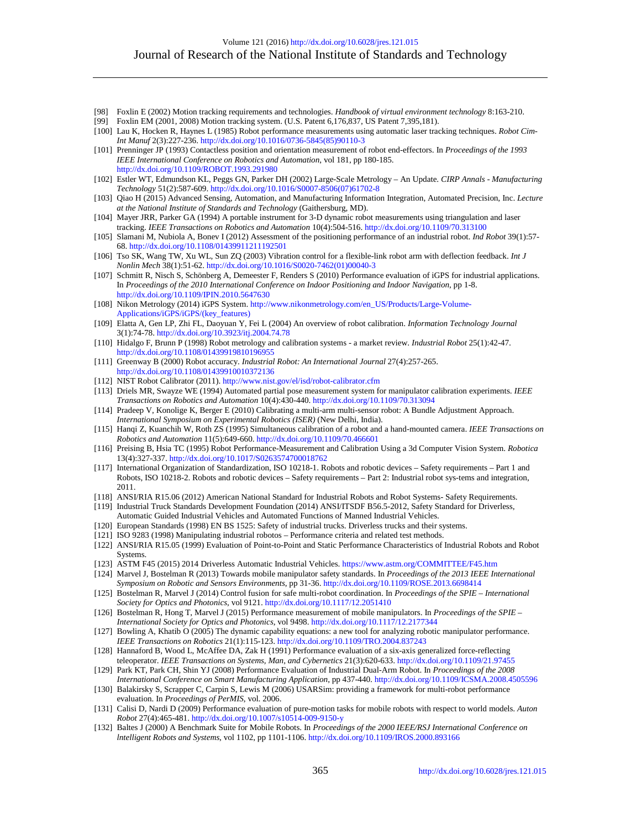- [98] Foxlin E (2002) Motion tracking requirements and technologies. *Handbook of virtual environment technology* 8:163-210.
- Foxlin EM (2001, 2008) Motion tracking system. (U.S. Patent 6,176,837, US Patent 7,395,181).
- [100] Lau K, Hocken R, Haynes L (1985) Robot performance measurements using automatic laser tracking techniques. *Robot Cim-Int Manuf* 2(3):227-236[. http://dx.doi.org/10.1016/0736-5845\(85\)90110-3](http://dx.doi.org/10.1016/0736-5845(85)90110-3)
- [101] Prenninger JP (1993) Contactless position and orientation measurement of robot end-effectors. In *Proceedings of the 1993 IEEE International Conference on Robotics and Automation*, vol 181, pp 180-185. <http://dx.doi.org/10.1109/ROBOT.1993.291980>
- [102] Estler WT, Edmundson KL, Peggs GN, Parker DH (2002) Large-Scale Metrology An Update. *CIRP Annals - Manufacturing Technology* 51(2):587-609[. http://dx.doi.org/10.1016/S0007-8506\(07\)61702-8](http://dx.doi.org/10.1016/S0007-8506(07)61702-8)
- [103] Qiao H (2015) Advanced Sensing, Automation, and Manufacturing Information Integration, Automated Precision, Inc. *Lecture at the National Institute of Standards and Technology* (Gaithersburg, MD).
- [104] Mayer JRR, Parker GA (1994) A portable instrument for 3-D dynamic robot measurements using triangulation and laser tracking. *IEEE Transactions on Robotics and Automation* 10(4):504-516[. http://dx.doi.org/10.1109/70.313100](http://dx.doi.org/10.1109/70.313100)
- [105] Slamani M, Nubiola A, Bonev I (2012) Assessment of the positioning performance of an industrial robot. *Ind Robot* 39(1):57- 68[. http://dx.doi.org/10.1108/01439911211192501](http://dx.doi.org/10.1108/01439911211192501)
- [106] Tso SK, Wang TW, Xu WL, Sun ZQ (2003) Vibration control for a flexible-link robot arm with deflection feedback. *Int J Nonlin Mech* 38(1):51-62[. http://dx.doi.org/10.1016/S0020-7462\(01\)00040-3](http://dx.doi.org/10.1016/S0020-7462(01)00040-3)
- [107] Schmitt R, Nisch S, Schönberg A, Demeester F, Renders S (2010) Performance evaluation of iGPS for industrial applications. In *Proceedings of the 2010 International Conference on Indoor Positioning and Indoor Navigation*, pp 1-8. <http://dx.doi.org/10.1109/IPIN.2010.5647630>
- [108] Nikon Metrology (2014) iGPS System. [http://www.nikonmetrology.com/en\\_US/Products/Large-Volume-](http://www.nikonmetrology.com/en_US/Products/Large-Volume-Applications/iGPS/iGPS/(key_features))[Applications/iGPS/iGPS/\(key\\_features\)](http://www.nikonmetrology.com/en_US/Products/Large-Volume-Applications/iGPS/iGPS/(key_features))
- [109] Elatta A, Gen LP, Zhi FL, Daoyuan Y, Fei L (2004) An overview of robot calibration. *Information Technology Journal* 3(1):74-78.<http://dx.doi.org/10.3923/itj.2004.74.78>
- [110] Hidalgo F, Brunn P (1998) Robot metrology and calibration systems a market review. *Industrial Robot* 25(1):42-47. <http://dx.doi.org/10.1108/01439919810196955>
- [111] Greenway B (2000) Robot accuracy. *Industrial Robot: An International Journal* 27(4):257-265. <http://dx.doi.org/10.1108/01439910010372136>
- [112] NIST Robot Calibrator (2011). <http://www.nist.gov/el/isd/robot-calibrator.cfm>
- [113] Driels MR, Swayze WE (1994) Automated partial pose measurement system for manipulator calibration experiments. *IEEE Transactions on Robotics and Automation* 10(4):430-440[. http://dx.doi.org/10.1109/70.313094](http://dx.doi.org/10.1109/70.313094)
- [114] Pradeep V, Konolige K, Berger E (2010) Calibrating a multi-arm multi-sensor robot: A Bundle Adjustment Approach. *International Symposium on Experimental Robotics (ISER)* (New Delhi, India).
- [115] Hanqi Z, Kuanchih W, Roth ZS (1995) Simultaneous calibration of a robot and a hand-mounted camera. *IEEE Transactions on Robotics and Automation* 11(5):649-660[. http://dx.doi.org/10.1109/70.466601](http://dx.doi.org/10.1109/70.466601)
- [116] Preising B, Hsia TC (1995) Robot Performance-Measurement and Calibration Using a 3d Computer Vision System. *Robotica* 13(4):327-337.<http://dx.doi.org/10.1017/S0263574700018762>
- [117] International Organization of Standardization, ISO 10218-1. Robots and robotic devices Safety requirements Part 1 and Robots, ISO 10218-2. Robots and robotic devices – Safety requirements – Part 2: Industrial robot sys-tems and integration, 2011.
- [118] ANSI/RIA R15.06 (2012) American National Standard for Industrial Robots and Robot Systems- Safety Requirements.
- [119] Industrial Truck Standards Development Foundation (2014) ANSI/ITSDF B56.5-2012, Safety Standard for Driverless, Automatic Guided Industrial Vehicles and Automated Functions of Manned Industrial Vehicles.
- [120] European Standards (1998) EN BS 1525: Safety of industrial trucks. Driverless trucks and their systems.
- [121] ISO 9283 (1998) Manipulating industrial robotos Performance criteria and related test methods.
- [122] ANSI/RIA R15.05 (1999) Evaluation of Point-to-Point and Static Performance Characteristics of Industrial Robots and Robot Systems.
- [123] ASTM F45 (2015) 2014 Driverless Automatic Industrial Vehicles. <https://www.astm.org/COMMITTEE/F45.htm>
- [124] Marvel J, Bostelman R (2013) Towards mobile manipulator safety standards. In *Proceedings of the 2013 IEEE International Symposium on Robotic and Sensors Environments*, pp 31-36[. http://dx.doi.org/10.1109/ROSE.2013.6698414](http://dx.doi.org/10.1109/ROSE.2013.6698414)
- [125] Bostelman R, Marvel J (2014) Control fusion for safe multi-robot coordination. In *Proceedings of the SPIE – International Society for Optics and Photonics*, vol 9121[. http://dx.doi.org/10.1117/12.2051410](http://dx.doi.org/10.1117/12.2051410)
- [126] Bostelman R, Hong T, Marvel J (2015) Performance measurement of mobile manipulators. In *Proceedings of the SPIE – International Society for Optics and Photonics*, vol 9498[. http://dx.doi.org/10.1117/12.2177344](http://dx.doi.org/10.1117/12.2177344)
- [127] Bowling A, Khatib O (2005) The dynamic capability equations: a new tool for analyzing robotic manipulator performance. *IEEE Transactions on Robotics* 21(1):115-123[. http://dx.doi.org/10.1109/TRO.2004.837243](http://dx.doi.org/10.1109/TRO.2004.837243)
- [128] Hannaford B, Wood L, McAffee DA, Zak H (1991) Performance evaluation of a six-axis generalized force-reflecting teleoperator. *IEEE Transactions on Systems, Man, and Cybernetics* 21(3):620-633[. http://dx.doi.org/10.1109/21.97455](http://dx.doi.org/10.1109/21.97455)
- [129] Park KT, Park CH, Shin YJ (2008) Performance Evaluation of Industrial Dual-Arm Robot. In *Proceedings of the 2008 International Conference on Smart Manufacturing Application*, pp 437-440. <http://dx.doi.org/10.1109/ICSMA.2008.4505596>
- [130] Balakirsky S, Scrapper C, Carpin S, Lewis M (2006) USARSim: providing a framework for multi-robot performance evaluation. In *Proceedings of PerMIS*, vol. 2006.
- [131] Calisi D, Nardi D (2009) Performance evaluation of pure-motion tasks for mobile robots with respect to world models. *Auton Robot* 27(4):465-481[. http://dx.doi.org/10.1007/s10514-009-9150-y](http://dx.doi.org/10.1007/s10514-009-9150-y)
- [132] Baltes J (2000) A Benchmark Suite for Mobile Robots. In *Proceedings of the 2000 IEEE/RSJ International Conference on lntelligent Robots and Systems*, vol 1102, pp 1101-1106[. http://dx.doi.org/10.1109/IROS.2000.893166](http://dx.doi.org/10.1109/IROS.2000.893166)